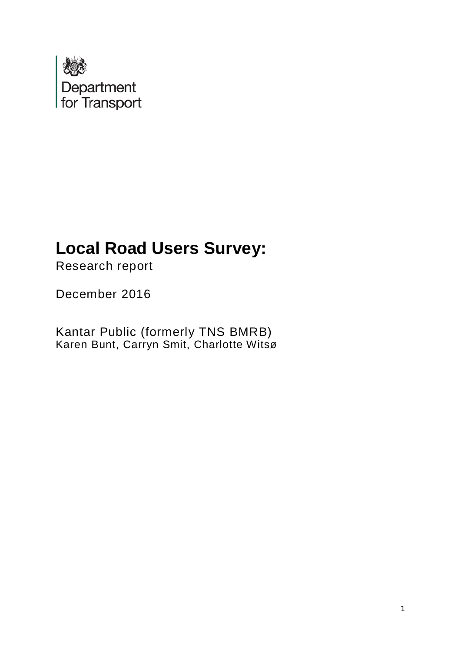

# **Local Road Users Survey:**

Research report

December 2016

Kantar Public (formerly TNS BMRB) Karen Bunt, Carryn Smit, Charlotte Witsø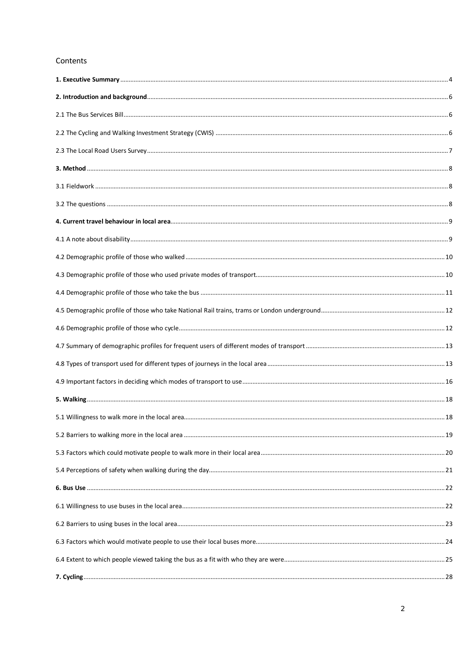#### Contents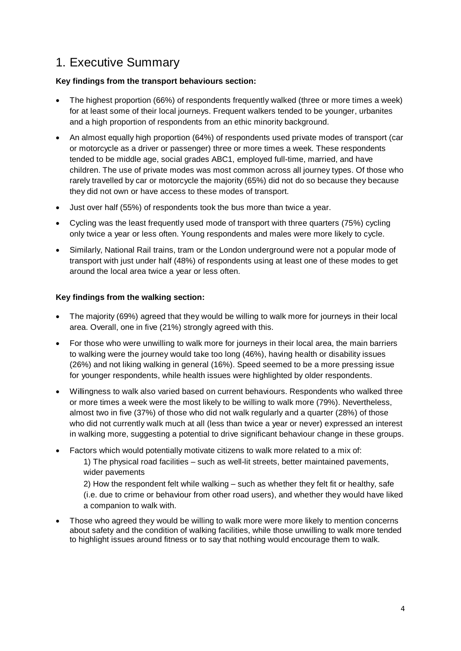### <span id="page-3-0"></span>1. Executive Summary

### **Key findings from the transport behaviours section:**

- The highest proportion (66%) of respondents frequently walked (three or more times a week) for at least some of their local journeys. Frequent walkers tended to be younger, urbanites and a high proportion of respondents from an ethic minority background.
- An almost equally high proportion (64%) of respondents used private modes of transport (car or motorcycle as a driver or passenger) three or more times a week. These respondents tended to be middle age, social grades ABC1, employed full-time, married, and have children. The use of private modes was most common across all journey types. Of those who rarely travelled by car or motorcycle the majority (65%) did not do so because they because they did not own or have access to these modes of transport.
- Just over half (55%) of respondents took the bus more than twice a year.
- Cycling was the least frequently used mode of transport with three quarters (75%) cycling only twice a year or less often. Young respondents and males were more likely to cycle.
- Similarly, National Rail trains, tram or the London underground were not a popular mode of transport with just under half (48%) of respondents using at least one of these modes to get around the local area twice a year or less often.

### **Key findings from the walking section:**

- The majority (69%) agreed that they would be willing to walk more for journeys in their local area. Overall, one in five (21%) strongly agreed with this.
- For those who were unwilling to walk more for journeys in their local area, the main barriers to walking were the journey would take too long (46%), having health or disability issues (26%) and not liking walking in general (16%). Speed seemed to be a more pressing issue for younger respondents, while health issues were highlighted by older respondents.
- Willingness to walk also varied based on current behaviours. Respondents who walked three or more times a week were the most likely to be willing to walk more (79%). Nevertheless, almost two in five (37%) of those who did not walk regularly and a quarter (28%) of those who did not currently walk much at all (less than twice a year or never) expressed an interest in walking more, suggesting a potential to drive significant behaviour change in these groups.
- Factors which would potentially motivate citizens to walk more related to a mix of: 1) The physical road facilities – such as well-lit streets, better maintained pavements, wider pavements

2) How the respondent felt while walking – such as whether they felt fit or healthy, safe (i.e. due to crime or behaviour from other road users), and whether they would have liked a companion to walk with.

• Those who agreed they would be willing to walk more were more likely to mention concerns about safety and the condition of walking facilities, while those unwilling to walk more tended to highlight issues around fitness or to say that nothing would encourage them to walk.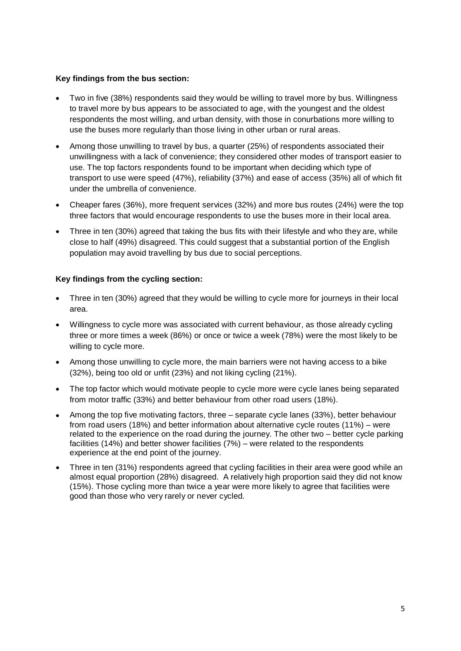### **Key findings from the bus section:**

- Two in five (38%) respondents said they would be willing to travel more by bus. Willingness to travel more by bus appears to be associated to age, with the youngest and the oldest respondents the most willing, and urban density, with those in conurbations more willing to use the buses more regularly than those living in other urban or rural areas.
- Among those unwilling to travel by bus, a quarter (25%) of respondents associated their unwillingness with a lack of convenience; they considered other modes of transport easier to use. The top factors respondents found to be important when deciding which type of transport to use were speed (47%), reliability (37%) and ease of access (35%) all of which fit under the umbrella of convenience.
- Cheaper fares (36%), more frequent services (32%) and more bus routes (24%) were the top three factors that would encourage respondents to use the buses more in their local area.
- Three in ten (30%) agreed that taking the bus fits with their lifestyle and who they are, while close to half (49%) disagreed. This could suggest that a substantial portion of the English population may avoid travelling by bus due to social perceptions.

#### **Key findings from the cycling section:**

- Three in ten (30%) agreed that they would be willing to cycle more for journeys in their local area.
- Willingness to cycle more was associated with current behaviour, as those already cycling three or more times a week (86%) or once or twice a week (78%) were the most likely to be willing to cycle more.
- Among those unwilling to cycle more, the main barriers were not having access to a bike (32%), being too old or unfit (23%) and not liking cycling (21%).
- The top factor which would motivate people to cycle more were cycle lanes being separated from motor traffic (33%) and better behaviour from other road users (18%).
- Among the top five motivating factors, three separate cycle lanes (33%), better behaviour from road users (18%) and better information about alternative cycle routes (11%) – were related to the experience on the road during the journey. The other two – better cycle parking facilities (14%) and better shower facilities (7%) – were related to the respondents experience at the end point of the journey.
- Three in ten (31%) respondents agreed that cycling facilities in their area were good while an almost equal proportion (28%) disagreed. A relatively high proportion said they did not know (15%). Those cycling more than twice a year were more likely to agree that facilities were good than those who very rarely or never cycled.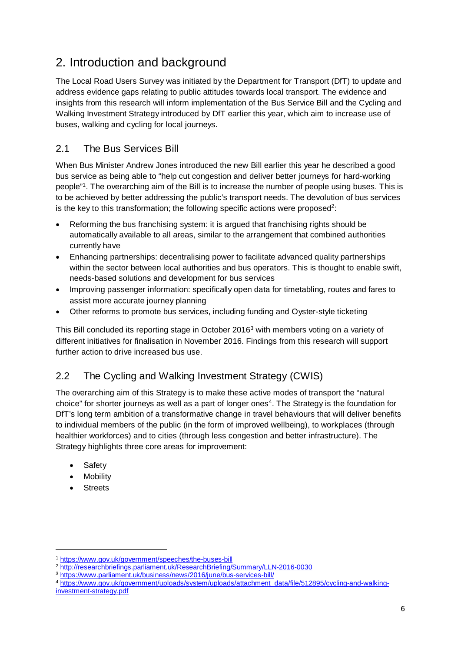## <span id="page-5-0"></span>2. Introduction and background

The Local Road Users Survey was initiated by the Department for Transport (DfT) to update and address evidence gaps relating to public attitudes towards local transport. The evidence and insights from this research will inform implementation of the Bus Service Bill and the Cycling and Walking Investment Strategy introduced by DfT earlier this year, which aim to increase use of buses, walking and cycling for local journeys.

### <span id="page-5-1"></span>2.1 The Bus Services Bill

When Bus Minister Andrew Jones introduced the new Bill earlier this year he described a good bus service as being able to "help cut congestion and deliver better journeys for hard-working people" 1. The overarching aim of the Bill is to increase the number of people using buses. This is to be achieved by better addressing the public's transport needs. The devolution of bus services is the key to this transformation; the following specific actions were proposed<sup>2</sup>:

- Reforming the bus franchising system: it is argued that franchising rights should be automatically available to all areas, similar to the arrangement that combined authorities currently have
- Enhancing partnerships: decentralising power to facilitate advanced quality partnerships within the sector between local authorities and bus operators. This is thought to enable swift, needs-based solutions and development for bus services
- Improving passenger information: specifically open data for timetabling, routes and fares to assist more accurate journey planning
- Other reforms to promote bus services, including funding and Oyster-style ticketing

This Bill concluded its reporting stage in October 20163 with members voting on a variety of different initiatives for finalisation in November 2016. Findings from this research will support further action to drive increased bus use.

### <span id="page-5-2"></span>2.2 The Cycling and Walking Investment Strategy (CWIS)

The overarching aim of this Strategy is to make these active modes of transport the "natural choice" for shorter journeys as well as a part of longer ones<sup>4</sup>. The Strategy is the foundation for DfT's long term ambition of a transformative change in travel behaviours that will deliver benefits to individual members of the public (in the form of improved wellbeing), to workplaces (through healthier workforces) and to cities (through less congestion and better infrastructure). The Strategy highlights three core areas for improvement:

- **Safety**
- **Mobility**
- **Streets**

-

<sup>1</sup> <https://www.gov.uk/government/speeches/the-buses-bill>

<sup>2</sup> <http://researchbriefings.parliament.uk/ResearchBriefing/Summary/LLN-2016-0030>

<sup>3</sup> <https://www.parliament.uk/business/news/2016/june/bus-services-bill/>

<sup>4</sup> [https://www.gov.uk/government/uploads/system/uploads/attachment\\_data/file/512895/cycling-and-walking](https://www.gov.uk/government/uploads/system/uploads/attachment_data/file/512895/cycling-and-walking-investment-strategy.pdf)[investment-strategy.pdf](https://www.gov.uk/government/uploads/system/uploads/attachment_data/file/512895/cycling-and-walking-investment-strategy.pdf)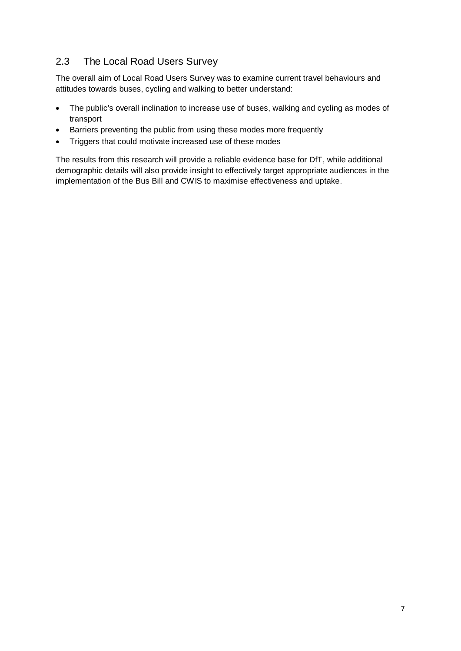### <span id="page-6-0"></span>2.3 The Local Road Users Survey

The overall aim of Local Road Users Survey was to examine current travel behaviours and attitudes towards buses, cycling and walking to better understand:

- The public's overall inclination to increase use of buses, walking and cycling as modes of transport
- Barriers preventing the public from using these modes more frequently
- Triggers that could motivate increased use of these modes

The results from this research will provide a reliable evidence base for DfT, while additional demographic details will also provide insight to effectively target appropriate audiences in the implementation of the Bus Bill and CWIS to maximise effectiveness and uptake.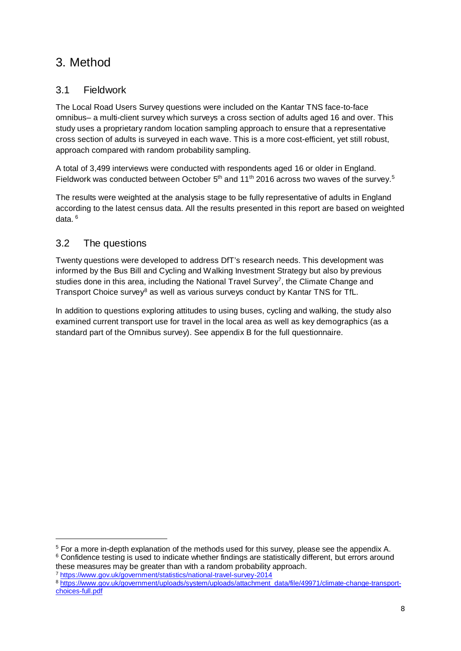### <span id="page-7-0"></span>3. Method

### <span id="page-7-1"></span>3.1 Fieldwork

The Local Road Users Survey questions were included on the Kantar TNS face-to-face omnibus– a multi-client survey which surveys a cross section of adults aged 16 and over. This study uses a proprietary random location sampling approach to ensure that a representative cross section of adults is surveyed in each wave. This is a more cost-efficient, yet still robust, approach compared with random probability sampling.

A total of 3,499 interviews were conducted with respondents aged 16 or older in England. Fieldwork was conducted between October  $5<sup>th</sup>$  and 11<sup>th</sup> 2016 across two waves of the survey.<sup>5</sup>

The results were weighted at the analysis stage to be fully representative of adults in England according to the latest census data. All the results presented in this report are based on weighted data. <sup>6</sup>

### <span id="page-7-2"></span>3.2 The questions

Twenty questions were developed to address DfT's research needs. This development was informed by the Bus Bill and Cycling and Walking Investment Strategy but also by previous studies done in this area, including the National Travel Survey<sup>7</sup>, the Climate Change and Transport Choice survey<sup>8</sup> as well as various surveys conduct by Kantar TNS for TfL.

In addition to questions exploring attitudes to using buses, cycling and walking, the study also examined current transport use for travel in the local area as well as key demographics (as a standard part of the Omnibus survey). See appendix B for the full questionnaire.

<sup>-</sup><sup>5</sup> For a more in-depth explanation of the methods used for this survey, please see the appendix A. <sup>6</sup> Confidence testing is used to indicate whether findings are statistically different, but errors around

these measures may be greater than with a random probability approach.<br><sup>7</sup> <https://www.gov.uk/government/statistics/national-travel-survey-2014>

<sup>8</sup> [https://www.gov.uk/government/uploads/system/uploads/attachment\\_data/file/49971/climate-change-transport](https://www.gov.uk/government/uploads/system/uploads/attachment_data/file/49971/climate-change-transport-choices-full.pdf)[choices-full.pdf](https://www.gov.uk/government/uploads/system/uploads/attachment_data/file/49971/climate-change-transport-choices-full.pdf)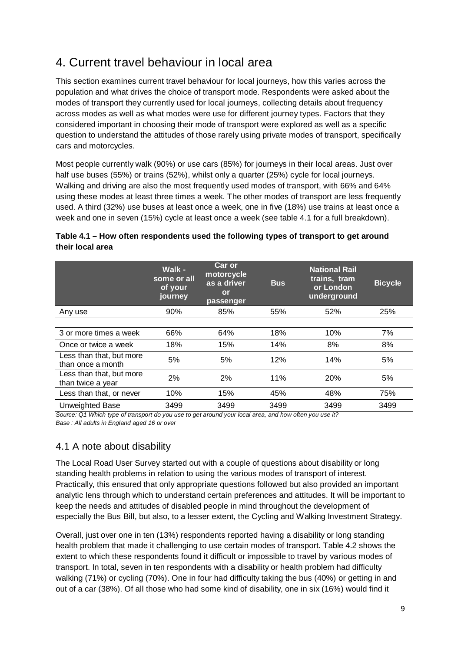### <span id="page-8-0"></span>4. Current travel behaviour in local area

This section examines current travel behaviour for local journeys, how this varies across the population and what drives the choice of transport mode. Respondents were asked about the modes of transport they currently used for local journeys, collecting details about frequency across modes as well as what modes were use for different journey types. Factors that they considered important in choosing their mode of transport were explored as well as a specific question to understand the attitudes of those rarely using private modes of transport, specifically cars and motorcycles.

Most people currently walk (90%) or use cars (85%) for journeys in their local areas. Just over half use buses (55%) or trains (52%), whilst only a quarter (25%) cycle for local journeys. Walking and driving are also the most frequently used modes of transport, with 66% and 64% using these modes at least three times a week. The other modes of transport are less frequently used. A third (32%) use buses at least once a week, one in five (18%) use trains at least once a week and one in seven (15%) cycle at least once a week (see table 4.1 for a full breakdown).

### **Table 4.1 – How often respondents used the following types of transport to get around their local area**

|                                               | Walk -<br>some or all<br>of your<br>journey | <b>Car or</b><br>motorcycle<br>as a driver<br>or<br>passenger | <b>Bus</b> | <b>National Rail</b><br>trains, tram<br>or London<br>underground | <b>Bicycle</b> |
|-----------------------------------------------|---------------------------------------------|---------------------------------------------------------------|------------|------------------------------------------------------------------|----------------|
| Any use                                       | 90%                                         | 85%                                                           | 55%        | 52%                                                              | 25%            |
|                                               |                                             |                                                               |            |                                                                  |                |
| 3 or more times a week                        | 66%                                         | 64%                                                           | 18%        | 10%                                                              | 7%             |
| Once or twice a week                          | 18%                                         | 15%                                                           | 14%        | 8%                                                               | 8%             |
| Less than that, but more<br>than once a month | 5%                                          | 5%                                                            | 12%        | 14%                                                              | 5%             |
| Less than that, but more<br>than twice a year | 2%                                          | 2%                                                            | 11%        | 20%                                                              | 5%             |
| Less than that, or never                      | 10%                                         | 15%                                                           | 45%        | 48%                                                              | 75%            |
| Unweighted Base                               | 3499                                        | 3499                                                          | 3499       | 3499                                                             | 3499           |

*Source: Q1 Which type of transport do you use to get around your local area, and how often you use it? Base : All adults in England aged 16 or over*

### <span id="page-8-1"></span>4.1 A note about disability

The Local Road User Survey started out with a couple of questions about disability or long standing health problems in relation to using the various modes of transport of interest. Practically, this ensured that only appropriate questions followed but also provided an important analytic lens through which to understand certain preferences and attitudes. It will be important to keep the needs and attitudes of disabled people in mind throughout the development of especially the Bus Bill, but also, to a lesser extent, the Cycling and Walking Investment Strategy.

Overall, just over one in ten (13%) respondents reported having a disability or long standing health problem that made it challenging to use certain modes of transport. Table 4.2 shows the extent to which these respondents found it difficult or impossible to travel by various modes of transport. In total, seven in ten respondents with a disability or health problem had difficulty walking (71%) or cycling (70%). One in four had difficulty taking the bus (40%) or getting in and out of a car (38%). Of all those who had some kind of disability, one in six (16%) would find it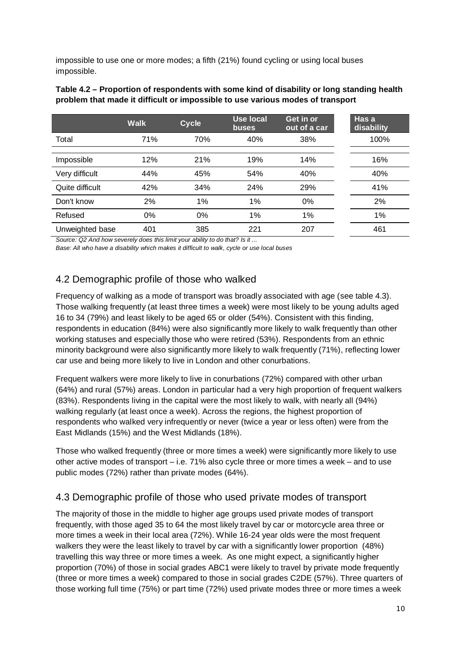impossible to use one or more modes; a fifth (21%) found cycling or using local buses impossible.

| Table 4.2 – Proportion of respondents with some kind of disability or long standing health |
|--------------------------------------------------------------------------------------------|
| problem that made it difficult or impossible to use various modes of transport             |

|                 | <b>Walk</b> | <b>Cycle</b> | <b>Use local</b><br>buses | Get in or<br>out of a car | Has a<br>disability |
|-----------------|-------------|--------------|---------------------------|---------------------------|---------------------|
| Total           | 71%         | 70%          | 40%                       | 38%                       | 100%                |
|                 |             |              |                           |                           |                     |
| Impossible      | 12%         | 21%          | 19%                       | 14%                       | 16%                 |
| Very difficult  | 44%         | 45%          | 54%                       | 40%                       | 40%                 |
| Quite difficult | 42%         | 34%          | 24%                       | 29%                       | 41%                 |
| Don't know      | 2%          | 1%           | 1%                        | 0%                        | 2%                  |
| Refused         | $0\%$       | 0%           | 1%                        | 1%                        | 1%                  |
| Unweighted base | 401         | 385          | 221                       | 207                       | 461                 |

*Source: Q2 And how severely does this limit your ability to do that? Is it ...*

*Base: All who have a disability which makes it difficult to walk, cycle or use local buses*

### <span id="page-9-0"></span>4.2 Demographic profile of those who walked

Frequency of walking as a mode of transport was broadly associated with age (see table 4.3). Those walking frequently (at least three times a week) were most likely to be young adults aged 16 to 34 (79%) and least likely to be aged 65 or older (54%). Consistent with this finding, respondents in education (84%) were also significantly more likely to walk frequently than other working statuses and especially those who were retired (53%). Respondents from an ethnic minority background were also significantly more likely to walk frequently (71%), reflecting lower car use and being more likely to live in London and other conurbations.

Frequent walkers were more likely to live in conurbations (72%) compared with other urban (64%) and rural (57%) areas. London in particular had a very high proportion of frequent walkers (83%). Respondents living in the capital were the most likely to walk, with nearly all (94%) walking regularly (at least once a week). Across the regions, the highest proportion of respondents who walked very infrequently or never (twice a year or less often) were from the East Midlands (15%) and the West Midlands (18%).

Those who walked frequently (three or more times a week) were significantly more likely to use other active modes of transport – i.e. 71% also cycle three or more times a week – and to use public modes (72%) rather than private modes (64%).

### <span id="page-9-1"></span>4.3 Demographic profile of those who used private modes of transport

The majority of those in the middle to higher age groups used private modes of transport frequently, with those aged 35 to 64 the most likely travel by car or motorcycle area three or more times a week in their local area (72%). While 16-24 year olds were the most frequent walkers they were the least likely to travel by car with a significantly lower proportion (48%) travelling this way three or more times a week. As one might expect, a significantly higher proportion (70%) of those in social grades ABC1 were likely to travel by private mode frequently (three or more times a week) compared to those in social grades C2DE (57%). Three quarters of those working full time (75%) or part time (72%) used private modes three or more times a week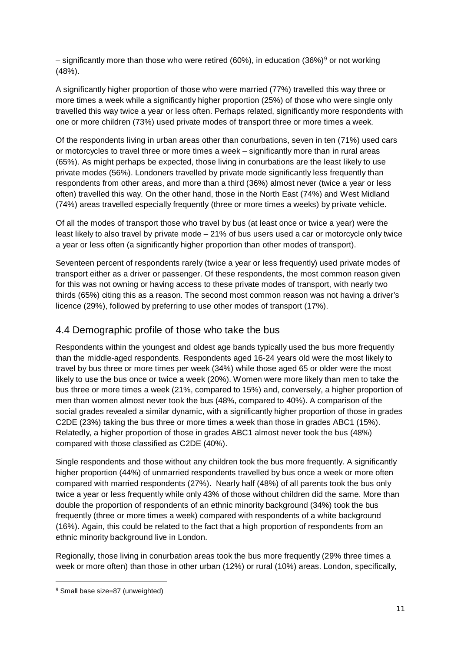– significantly more than those who were retired (60%), in education (36%)<sup>9</sup> or not working (48%).

A significantly higher proportion of those who were married (77%) travelled this way three or more times a week while a significantly higher proportion (25%) of those who were single only travelled this way twice a year or less often. Perhaps related, significantly more respondents with one or more children (73%) used private modes of transport three or more times a week.

Of the respondents living in urban areas other than conurbations, seven in ten (71%) used cars or motorcycles to travel three or more times a week – significantly more than in rural areas (65%). As might perhaps be expected, those living in conurbations are the least likely to use private modes (56%). Londoners travelled by private mode significantly less frequently than respondents from other areas, and more than a third (36%) almost never (twice a year or less often) travelled this way. On the other hand, those in the North East (74%) and West Midland (74%) areas travelled especially frequently (three or more times a weeks) by private vehicle.

Of all the modes of transport those who travel by bus (at least once or twice a year) were the least likely to also travel by private mode – 21% of bus users used a car or motorcycle only twice a year or less often (a significantly higher proportion than other modes of transport).

Seventeen percent of respondents rarely (twice a year or less frequently) used private modes of transport either as a driver or passenger. Of these respondents, the most common reason given for this was not owning or having access to these private modes of transport, with nearly two thirds (65%) citing this as a reason. The second most common reason was not having a driver's licence (29%), followed by preferring to use other modes of transport (17%).

### <span id="page-10-0"></span>4.4 Demographic profile of those who take the bus

Respondents within the youngest and oldest age bands typically used the bus more frequently than the middle-aged respondents. Respondents aged 16-24 years old were the most likely to travel by bus three or more times per week (34%) while those aged 65 or older were the most likely to use the bus once or twice a week (20%). Women were more likely than men to take the bus three or more times a week (21%, compared to 15%) and, conversely, a higher proportion of men than women almost never took the bus (48%, compared to 40%). A comparison of the social grades revealed a similar dynamic, with a significantly higher proportion of those in grades C2DE (23%) taking the bus three or more times a week than those in grades ABC1 (15%). Relatedly, a higher proportion of those in grades ABC1 almost never took the bus (48%) compared with those classified as C2DE (40%).

Single respondents and those without any children took the bus more frequently. A significantly higher proportion (44%) of unmarried respondents travelled by bus once a week or more often compared with married respondents (27%). Nearly half (48%) of all parents took the bus only twice a year or less frequently while only 43% of those without children did the same. More than double the proportion of respondents of an ethnic minority background (34%) took the bus frequently (three or more times a week) compared with respondents of a white background (16%). Again, this could be related to the fact that a high proportion of respondents from an ethnic minority background live in London.

Regionally, those living in conurbation areas took the bus more frequently (29% three times a week or more often) than those in other urban (12%) or rural (10%) areas. London, specifically,

<sup>-</sup><sup>9</sup> Small base size=87 (unweighted)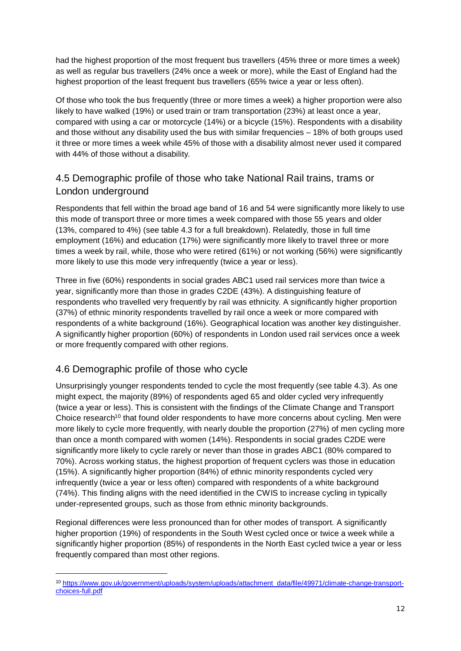had the highest proportion of the most frequent bus travellers (45% three or more times a week) as well as regular bus travellers (24% once a week or more), while the East of England had the highest proportion of the least frequent bus travellers (65% twice a year or less often).

Of those who took the bus frequently (three or more times a week) a higher proportion were also likely to have walked (19%) or used train or tram transportation (23%) at least once a year, compared with using a car or motorcycle (14%) or a bicycle (15%). Respondents with a disability and those without any disability used the bus with similar frequencies – 18% of both groups used it three or more times a week while 45% of those with a disability almost never used it compared with 44% of those without a disability.

### <span id="page-11-0"></span>4.5 Demographic profile of those who take National Rail trains, trams or London underground

Respondents that fell within the broad age band of 16 and 54 were significantly more likely to use this mode of transport three or more times a week compared with those 55 years and older (13%, compared to 4%) (see table 4.3 for a full breakdown). Relatedly, those in full time employment (16%) and education (17%) were significantly more likely to travel three or more times a week by rail, while, those who were retired (61%) or not working (56%) were significantly more likely to use this mode very infrequently (twice a year or less).

Three in five (60%) respondents in social grades ABC1 used rail services more than twice a year, significantly more than those in grades C2DE (43%). A distinguishing feature of respondents who travelled very frequently by rail was ethnicity. A significantly higher proportion (37%) of ethnic minority respondents travelled by rail once a week or more compared with respondents of a white background (16%). Geographical location was another key distinguisher. A significantly higher proportion (60%) of respondents in London used rail services once a week or more frequently compared with other regions.

### <span id="page-11-1"></span>4.6 Demographic profile of those who cycle

Unsurprisingly younger respondents tended to cycle the most frequently (see table 4.3). As one might expect, the majority (89%) of respondents aged 65 and older cycled very infrequently (twice a year or less). This is consistent with the findings of the Climate Change and Transport Choice research<sup>10</sup> that found older respondents to have more concerns about cycling. Men were more likely to cycle more frequently, with nearly double the proportion (27%) of men cycling more than once a month compared with women (14%). Respondents in social grades C2DE were significantly more likely to cycle rarely or never than those in grades ABC1 (80% compared to 70%). Across working status, the highest proportion of frequent cyclers was those in education (15%). A significantly higher proportion (84%) of ethnic minority respondents cycled very infrequently (twice a year or less often) compared with respondents of a white background (74%). This finding aligns with the need identified in the CWIS to increase cycling in typically under-represented groups, such as those from ethnic minority backgrounds.

Regional differences were less pronounced than for other modes of transport. A significantly higher proportion (19%) of respondents in the South West cycled once or twice a week while a significantly higher proportion (85%) of respondents in the North East cycled twice a year or less frequently compared than most other regions.

<sup>-</sup><sup>10</sup> [https://www.gov.uk/government/uploads/system/uploads/attachment\\_data/file/49971/climate-change-transport](https://www.gov.uk/government/uploads/system/uploads/attachment_data/file/49971/climate-change-transport-choices-full.pdf)[choices-full.pdf](https://www.gov.uk/government/uploads/system/uploads/attachment_data/file/49971/climate-change-transport-choices-full.pdf)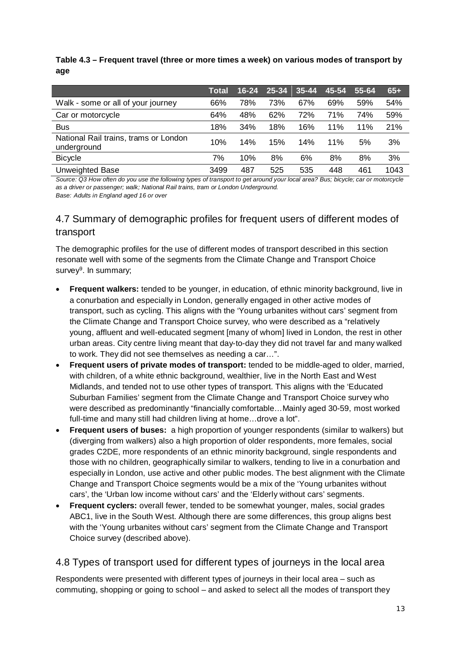**Table 4.3 – Frequent travel (three or more times a week) on various modes of transport by age** 

|                                                      | Total | $16 - 24$ | 25-34 | $35 - 44$ | 45-54 | 55-64 | $65+$ |
|------------------------------------------------------|-------|-----------|-------|-----------|-------|-------|-------|
| Walk - some or all of your journey                   | 66%   | 78%       | 73%   | 67%       | 69%   | 59%   | 54%   |
| Car or motorcycle                                    | 64%   | 48%       | 62%   | 72%       | 71%   | 74%   | 59%   |
| <b>Bus</b>                                           | 18%   | 34%       | 18%   | 16%       | 11%   | 11%   | 21%   |
| National Rail trains, trams or London<br>underground | 10%   | 14%       | 15%   | 14%       | 11%   | 5%    | 3%    |
| <b>Bicycle</b>                                       | 7%    | 10%       | 8%    | 6%        | 8%    | 8%    | 3%    |
| <b>Unweighted Base</b>                               | 3499  | 487       | 525   | 535       | 448   | 461   | 1043  |

*Source: Q3 How often do you use the following types of transport to get around your local area? Bus; bicycle; car or motorcycle as a driver or passenger; walk; National Rail trains, tram or London Underground. Base: Adults in England aged 16 or over*

### <span id="page-12-0"></span>4.7 Summary of demographic profiles for frequent users of different modes of transport

The demographic profiles for the use of different modes of transport described in this section resonate well with some of the segments from the Climate Change and Transport Choice survey $9$ . In summary;

- **Frequent walkers:** tended to be younger, in education, of ethnic minority background, live in a conurbation and especially in London, generally engaged in other active modes of transport, such as cycling. This aligns with the 'Young urbanites without cars' segment from the Climate Change and Transport Choice survey, who were described as a "relatively young, affluent and well-educated segment [many of whom] lived in London, the rest in other urban areas. City centre living meant that day-to-day they did not travel far and many walked to work. They did not see themselves as needing a car…".
- **Frequent users of private modes of transport:** tended to be middle-aged to older, married, with children, of a white ethnic background, wealthier, live in the North East and West Midlands, and tended not to use other types of transport. This aligns with the 'Educated Suburban Families' segment from the Climate Change and Transport Choice survey who were described as predominantly "financially comfortable…Mainly aged 30-59, most worked full-time and many still had children living at home…drove a lot".
- **Frequent users of buses:** a high proportion of younger respondents (similar to walkers) but (diverging from walkers) also a high proportion of older respondents, more females, social grades C2DE, more respondents of an ethnic minority background, single respondents and those with no children, geographically similar to walkers, tending to live in a conurbation and especially in London, use active and other public modes. The best alignment with the Climate Change and Transport Choice segments would be a mix of the 'Young urbanites without cars', the 'Urban low income without cars' and the 'Elderly without cars' segments.
- **Frequent cyclers:** overall fewer, tended to be somewhat younger, males, social grades ABC1, live in the South West. Although there are some differences, this group aligns best with the 'Young urbanites without cars' segment from the Climate Change and Transport Choice survey (described above).

### <span id="page-12-1"></span>4.8 Types of transport used for different types of journeys in the local area

Respondents were presented with different types of journeys in their local area – such as commuting, shopping or going to school – and asked to select all the modes of transport they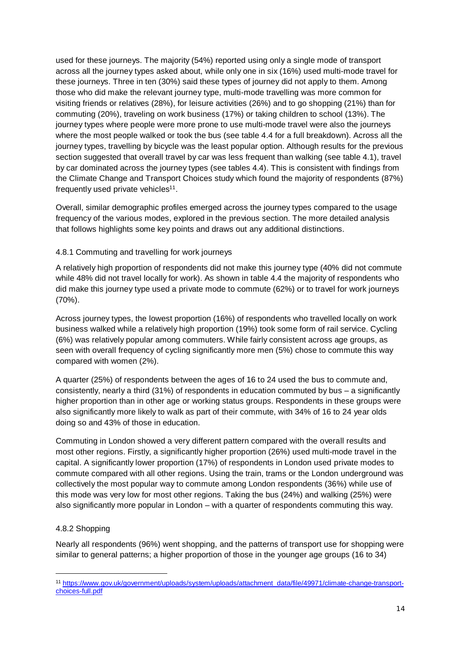used for these journeys. The majority (54%) reported using only a single mode of transport across all the journey types asked about, while only one in six (16%) used multi-mode travel for these journeys. Three in ten (30%) said these types of journey did not apply to them. Among those who did make the relevant journey type, multi-mode travelling was more common for visiting friends or relatives (28%), for leisure activities (26%) and to go shopping (21%) than for commuting (20%), traveling on work business (17%) or taking children to school (13%). The journey types where people were more prone to use multi-mode travel were also the journeys where the most people walked or took the bus (see table 4.4 for a full breakdown). Across all the journey types, travelling by bicycle was the least popular option. Although results for the previous section suggested that overall travel by car was less frequent than walking (see table 4.1), travel by car dominated across the journey types (see tables 4.4). This is consistent with findings from the Climate Change and Transport Choices study which found the majority of respondents (87%) frequently used private vehicles<sup>11</sup>.

Overall, similar demographic profiles emerged across the journey types compared to the usage frequency of the various modes, explored in the previous section. The more detailed analysis that follows highlights some key points and draws out any additional distinctions.

### 4.8.1 Commuting and travelling for work journeys

A relatively high proportion of respondents did not make this journey type (40% did not commute while 48% did not travel locally for work). As shown in table 4.4 the majority of respondents who did make this journey type used a private mode to commute (62%) or to travel for work journeys (70%).

Across journey types, the lowest proportion (16%) of respondents who travelled locally on work business walked while a relatively high proportion (19%) took some form of rail service. Cycling (6%) was relatively popular among commuters. While fairly consistent across age groups, as seen with overall frequency of cycling significantly more men (5%) chose to commute this way compared with women (2%).

A quarter (25%) of respondents between the ages of 16 to 24 used the bus to commute and, consistently, nearly a third (31%) of respondents in education commuted by bus – a significantly higher proportion than in other age or working status groups. Respondents in these groups were also significantly more likely to walk as part of their commute, with 34% of 16 to 24 year olds doing so and 43% of those in education.

Commuting in London showed a very different pattern compared with the overall results and most other regions. Firstly, a significantly higher proportion (26%) used multi-mode travel in the capital. A significantly lower proportion (17%) of respondents in London used private modes to commute compared with all other regions. Using the train, trams or the London underground was collectively the most popular way to commute among London respondents (36%) while use of this mode was very low for most other regions. Taking the bus (24%) and walking (25%) were also significantly more popular in London – with a quarter of respondents commuting this way.

### 4.8.2 Shopping

Nearly all respondents (96%) went shopping, and the patterns of transport use for shopping were similar to general patterns; a higher proportion of those in the younger age groups (16 to 34)

<sup>-</sup><sup>11</sup> [https://www.gov.uk/government/uploads/system/uploads/attachment\\_data/file/49971/climate-change-transport](https://www.gov.uk/government/uploads/system/uploads/attachment_data/file/49971/climate-change-transport-choices-full.pdf)[choices-full.pdf](https://www.gov.uk/government/uploads/system/uploads/attachment_data/file/49971/climate-change-transport-choices-full.pdf)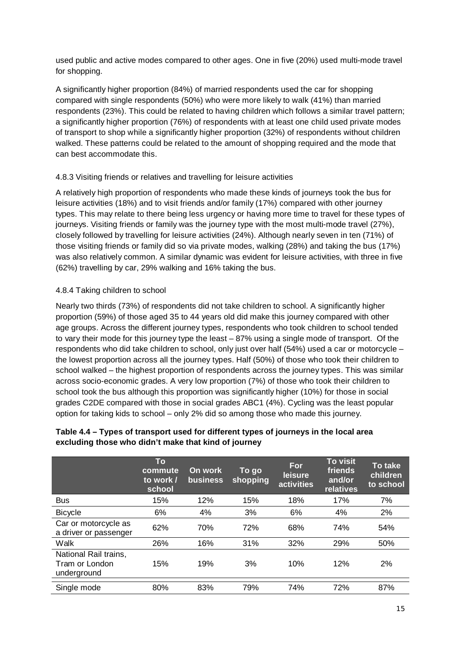used public and active modes compared to other ages. One in five (20%) used multi-mode travel for shopping.

A significantly higher proportion (84%) of married respondents used the car for shopping compared with single respondents (50%) who were more likely to walk (41%) than married respondents (23%). This could be related to having children which follows a similar travel pattern; a significantly higher proportion (76%) of respondents with at least one child used private modes of transport to shop while a significantly higher proportion (32%) of respondents without children walked. These patterns could be related to the amount of shopping required and the mode that can best accommodate this.

### 4.8.3 Visiting friends or relatives and travelling for leisure activities

A relatively high proportion of respondents who made these kinds of journeys took the bus for leisure activities (18%) and to visit friends and/or family (17%) compared with other journey types. This may relate to there being less urgency or having more time to travel for these types of journeys. Visiting friends or family was the journey type with the most multi-mode travel (27%), closely followed by travelling for leisure activities (24%). Although nearly seven in ten (71%) of those visiting friends or family did so via private modes, walking (28%) and taking the bus (17%) was also relatively common. A similar dynamic was evident for leisure activities, with three in five (62%) travelling by car, 29% walking and 16% taking the bus.

### 4.8.4 Taking children to school

Nearly two thirds (73%) of respondents did not take children to school. A significantly higher proportion (59%) of those aged 35 to 44 years old did make this journey compared with other age groups. Across the different journey types, respondents who took children to school tended to vary their mode for this journey type the least – 87% using a single mode of transport. Of the respondents who did take children to school, only just over half (54%) used a car or motorcycle – the lowest proportion across all the journey types. Half (50%) of those who took their children to school walked – the highest proportion of respondents across the journey types. This was similar across socio-economic grades. A very low proportion (7%) of those who took their children to school took the bus although this proportion was significantly higher (10%) for those in social grades C2DE compared with those in social grades ABC1 (4%). Cycling was the least popular option for taking kids to school – only 2% did so among those who made this journey.

|                                                        | To<br>commute<br>to work /<br>school | On work<br><b>business</b> | To go<br>shopping | For<br>leisure<br>activities | <b>To visit</b><br>friends<br>and/or<br>relatives | <b>To take</b><br>children<br>to school |
|--------------------------------------------------------|--------------------------------------|----------------------------|-------------------|------------------------------|---------------------------------------------------|-----------------------------------------|
| <b>Bus</b>                                             | 15%                                  | 12%                        | 15%               | 18%                          | 17%                                               | 7%                                      |
| <b>Bicycle</b>                                         | 6%                                   | 4%                         | 3%                | 6%                           | 4%                                                | 2%                                      |
| Car or motorcycle as<br>a driver or passenger          | 62%                                  | 70%                        | 72%               | 68%                          | 74%                                               | 54%                                     |
| Walk                                                   | 26%                                  | 16%                        | 31%               | 32%                          | 29%                                               | 50%                                     |
| National Rail trains,<br>Tram or London<br>underground | 15%                                  | 19%                        | 3%                | 10%                          | 12%                                               | 2%                                      |
| Single mode                                            | 80%                                  | 83%                        | 79%               | 74%                          | 72%                                               | 87%                                     |

### **Table 4.4 – Types of transport used for different types of journeys in the local area excluding those who didn't make that kind of journey**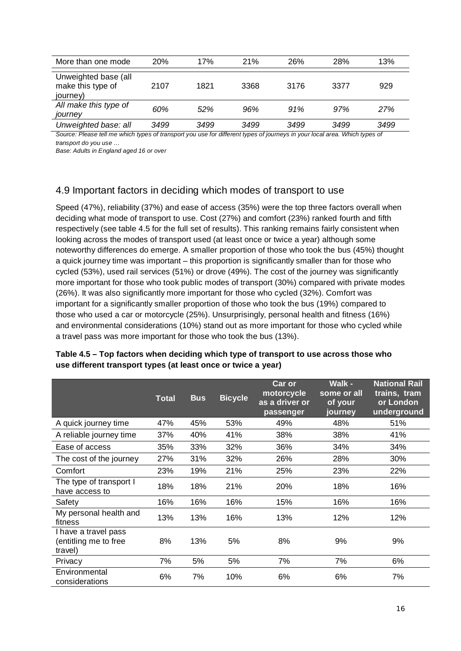| More than one mode                                    | 20%  | 17%  | 21%  | 26%  | 28%  | 13%  |
|-------------------------------------------------------|------|------|------|------|------|------|
| Unweighted base (all<br>make this type of<br>journey) | 2107 | 1821 | 3368 | 3176 | 3377 | 929  |
| All make this type of<br>journey                      | 60%  | 52%  | 96%  | 91%  | 97%  | 27%  |
| Unweighted base: all                                  | 3499 | 3499 | 3499 | 3499 | 3499 | 3499 |

Source: Please tell me which types of transport you use for different types of journeys in your local area. Which types of *transport do you use …*

*Base: Adults in England aged 16 or over*

### <span id="page-15-0"></span>4.9 Important factors in deciding which modes of transport to use

Speed (47%), reliability (37%) and ease of access (35%) were the top three factors overall when deciding what mode of transport to use. Cost (27%) and comfort (23%) ranked fourth and fifth respectively (see table 4.5 for the full set of results). This ranking remains fairly consistent when looking across the modes of transport used (at least once or twice a year) although some noteworthy differences do emerge. A smaller proportion of those who took the bus (45%) thought a quick journey time was important – this proportion is significantly smaller than for those who cycled (53%), used rail services (51%) or drove (49%). The cost of the journey was significantly more important for those who took public modes of transport (30%) compared with private modes (26%). It was also significantly more important for those who cycled (32%). Comfort was important for a significantly smaller proportion of those who took the bus (19%) compared to those who used a car or motorcycle (25%). Unsurprisingly, personal health and fitness (16%) and environmental considerations (10%) stand out as more important for those who cycled while a travel pass was more important for those who took the bus (13%).

|                                                          | <b>Total</b> | <b>Bus</b> | <b>Bicycle</b> | Car or<br>motorcycle<br>as a driver or<br>passenger | <b>Walk -</b><br>some or all<br>of your<br>journey | <b>National Rail</b><br>trains, tram<br>or London<br>underground |
|----------------------------------------------------------|--------------|------------|----------------|-----------------------------------------------------|----------------------------------------------------|------------------------------------------------------------------|
| A quick journey time                                     | 47%          | 45%        | 53%            | 49%                                                 | 48%                                                | 51%                                                              |
| A reliable journey time                                  | 37%          | 40%        | 41%            | 38%                                                 | 38%                                                | 41%                                                              |
| Ease of access                                           | 35%          | 33%        | 32%            | 36%                                                 | 34%                                                | 34%                                                              |
| The cost of the journey                                  | 27%          | 31%        | 32%            | 26%                                                 | 28%                                                | 30%                                                              |
| Comfort                                                  | 23%          | 19%        | 21%            | 25%                                                 | 23%                                                | 22%                                                              |
| The type of transport I<br>have access to                | 18%          | 18%        | 21%            | 20%                                                 | 18%                                                | 16%                                                              |
| Safety                                                   | 16%          | 16%        | 16%            | 15%                                                 | 16%                                                | 16%                                                              |
| My personal health and<br>fitness                        | 13%          | 13%        | 16%            | 13%                                                 | 12%                                                | 12%                                                              |
| I have a travel pass<br>(entitling me to free<br>travel) | 8%           | 13%        | 5%             | 8%                                                  | 9%                                                 | 9%                                                               |
| Privacy                                                  | 7%           | 5%         | 5%             | 7%                                                  | 7%                                                 | 6%                                                               |
| Environmental<br>considerations                          | 6%           | 7%         | 10%            | 6%                                                  | 6%                                                 | 7%                                                               |

**Table 4.5 – Top factors when deciding which type of transport to use across those who use different transport types (at least once or twice a year)**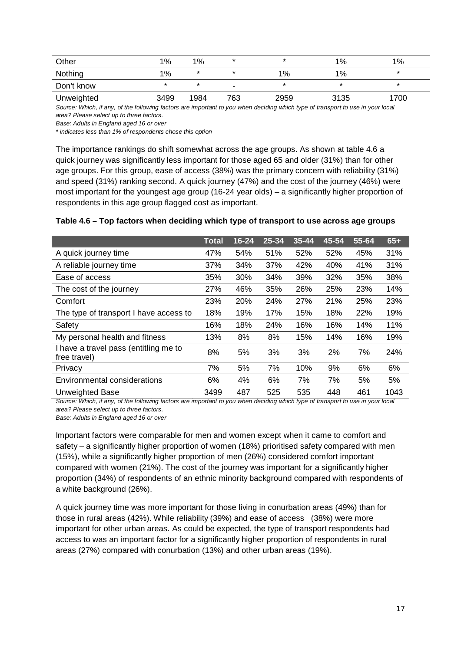| Other                                                                                                                         | 1%    | 1%   |     |      | $1\%$ | $1\%$   |
|-------------------------------------------------------------------------------------------------------------------------------|-------|------|-----|------|-------|---------|
| Nothing                                                                                                                       | $1\%$ |      |     | 1%   | $1\%$ | $\star$ |
| Don't know                                                                                                                    |       |      |     |      |       |         |
| Unweighted                                                                                                                    | 3499  | 1984 | 763 | 2959 | 3135  | 1700    |
| Source: Which if any of the following factors are important to you when deciding which type of transport to use in your local |       |      |     |      |       |         |

*Source: Which, if any, of the following factors are important to you when deciding which type of transport to use in your local area? Please select up to three factors.*

*Base: Adults in England aged 16 or over*

*\* indicates less than 1% of respondents chose this option*

The importance rankings do shift somewhat across the age groups. As shown at table 4.6 a quick journey was significantly less important for those aged 65 and older (31%) than for other age groups. For this group, ease of access (38%) was the primary concern with reliability (31%) and speed (31%) ranking second. A quick journey (47%) and the cost of the journey (46%) were most important for the youngest age group (16-24 year olds) – a significantly higher proportion of respondents in this age group flagged cost as important.

### **Table 4.6 – Top factors when deciding which type of transport to use across age groups**

|                                                       | Total | $16 - 24$ | 25-34 | $35 - 44$ | $45 - 54$ | 55-64 | $65+$ |
|-------------------------------------------------------|-------|-----------|-------|-----------|-----------|-------|-------|
| A quick journey time                                  | 47%   | 54%       | 51%   | 52%       | 52%       | 45%   | 31%   |
| A reliable journey time                               | 37%   | 34%       | 37%   | 42%       | 40%       | 41%   | 31%   |
| Ease of access                                        | 35%   | 30%       | 34%   | 39%       | 32%       | 35%   | 38%   |
| The cost of the journey                               | 27%   | 46%       | 35%   | 26%       | 25%       | 23%   | 14%   |
| Comfort                                               | 23%   | 20%       | 24%   | 27%       | 21%       | 25%   | 23%   |
| The type of transport I have access to                | 18%   | 19%       | 17%   | 15%       | 18%       | 22%   | 19%   |
| Safety                                                | 16%   | 18%       | 24%   | 16%       | 16%       | 14%   | 11%   |
| My personal health and fitness                        | 13%   | 8%        | 8%    | 15%       | 14%       | 16%   | 19%   |
| I have a travel pass (entitling me to<br>free travel) | 8%    | 5%        | 3%    | 3%        | 2%        | 7%    | 24%   |
| Privacy                                               | 7%    | 5%        | 7%    | 10%       | 9%        | 6%    | 6%    |
| Environmental considerations                          | 6%    | 4%        | 6%    | 7%        | 7%        | 5%    | 5%    |
| <b>Unweighted Base</b>                                | 3499  | 487       | 525   | 535       | 448       | 461   | 1043  |

*Source: Which, if any, of the following factors are important to you when deciding which type of transport to use in your local area? Please select up to three factors.*

*Base: Adults in England aged 16 or over*

Important factors were comparable for men and women except when it came to comfort and safety – a significantly higher proportion of women (18%) prioritised safety compared with men (15%), while a significantly higher proportion of men (26%) considered comfort important compared with women (21%). The cost of the journey was important for a significantly higher proportion (34%) of respondents of an ethnic minority background compared with respondents of a white background (26%).

A quick journey time was more important for those living in conurbation areas (49%) than for those in rural areas (42%). While reliability (39%) and ease of access (38%) were more important for other urban areas. As could be expected, the type of transport respondents had access to was an important factor for a significantly higher proportion of respondents in rural areas (27%) compared with conurbation (13%) and other urban areas (19%).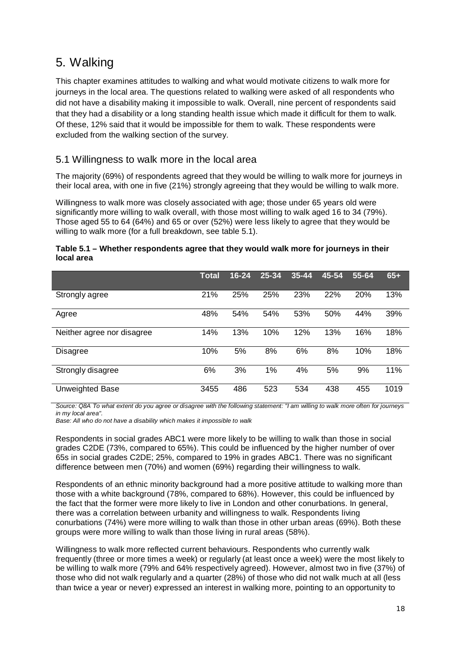### <span id="page-17-0"></span>5. Walking

This chapter examines attitudes to walking and what would motivate citizens to walk more for journeys in the local area. The questions related to walking were asked of all respondents who did not have a disability making it impossible to walk. Overall, nine percent of respondents said that they had a disability or a long standing health issue which made it difficult for them to walk. Of these, 12% said that it would be impossible for them to walk. These respondents were excluded from the walking section of the survey.

### <span id="page-17-1"></span>5.1 Willingness to walk more in the local area

The majority (69%) of respondents agreed that they would be willing to walk more for journeys in their local area, with one in five (21%) strongly agreeing that they would be willing to walk more.

Willingness to walk more was closely associated with age; those under 65 years old were significantly more willing to walk overall, with those most willing to walk aged 16 to 34 (79%). Those aged 55 to 64 (64%) and 65 or over (52%) were less likely to agree that they would be willing to walk more (for a full breakdown, see table 5.1).

#### **Table 5.1 – Whether respondents agree that they would walk more for journeys in their local area**

|                            | Total | $16 - 24$ | 25-34 | 35-44 | 45-54 | 55-64 | $65+$ |
|----------------------------|-------|-----------|-------|-------|-------|-------|-------|
| Strongly agree             | 21%   | 25%       | 25%   | 23%   | 22%   | 20%   | 13%   |
| Agree                      | 48%   | 54%       | 54%   | 53%   | 50%   | 44%   | 39%   |
| Neither agree nor disagree | 14%   | 13%       | 10%   | 12%   | 13%   | 16%   | 18%   |
| <b>Disagree</b>            | 10%   | 5%        | 8%    | 6%    | 8%    | 10%   | 18%   |
| Strongly disagree          | 6%    | 3%        | 1%    | 4%    | 5%    | 9%    | 11%   |
| <b>Unweighted Base</b>     | 3455  | 486       | 523   | 534   | 438   | 455   | 1019  |

*Source: Q8A To what extent do you agree or disagree with the following statement: "I am willing to walk more often for journeys in my local area".* 

*Base: All who do not have a disability which makes it impossible to walk*

Respondents in social grades ABC1 were more likely to be willing to walk than those in social grades C2DE (73%, compared to 65%). This could be influenced by the higher number of over 65s in social grades C2DE; 25%, compared to 19% in grades ABC1. There was no significant difference between men (70%) and women (69%) regarding their willingness to walk.

Respondents of an ethnic minority background had a more positive attitude to walking more than those with a white background (78%, compared to 68%). However, this could be influenced by the fact that the former were more likely to live in London and other conurbations. In general, there was a correlation between urbanity and willingness to walk. Respondents living conurbations (74%) were more willing to walk than those in other urban areas (69%). Both these groups were more willing to walk than those living in rural areas (58%).

Willingness to walk more reflected current behaviours. Respondents who currently walk frequently (three or more times a week) or regularly (at least once a week) were the most likely to be willing to walk more (79% and 64% respectively agreed). However, almost two in five (37%) of those who did not walk regularly and a quarter (28%) of those who did not walk much at all (less than twice a year or never) expressed an interest in walking more, pointing to an opportunity to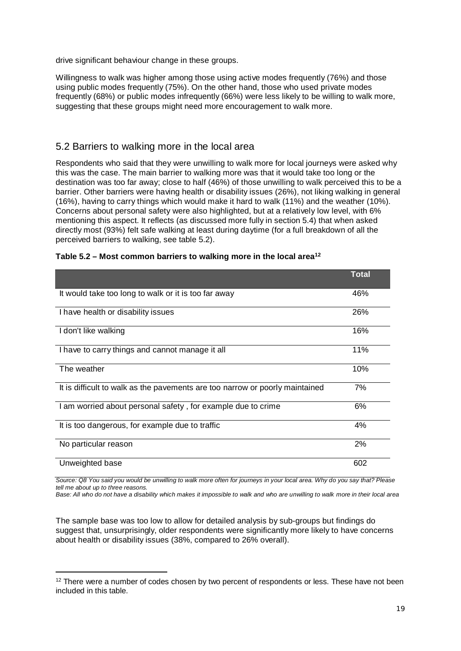drive significant behaviour change in these groups.

Willingness to walk was higher among those using active modes frequently (76%) and those using public modes frequently (75%). On the other hand, those who used private modes frequently (68%) or public modes infrequently (66%) were less likely to be willing to walk more, suggesting that these groups might need more encouragement to walk more.

### <span id="page-18-0"></span>5.2 Barriers to walking more in the local area

Respondents who said that they were unwilling to walk more for local journeys were asked why this was the case. The main barrier to walking more was that it would take too long or the destination was too far away; close to half (46%) of those unwilling to walk perceived this to be a barrier. Other barriers were having health or disability issues (26%), not liking walking in general (16%), having to carry things which would make it hard to walk (11%) and the weather (10%). Concerns about personal safety were also highlighted, but at a relatively low level, with 6% mentioning this aspect. It reflects (as discussed more fully in section 5.4) that when asked directly most (93%) felt safe walking at least during daytime (for a full breakdown of all the perceived barriers to walking, see table 5.2).

|                                                                              | <b>Total</b> |
|------------------------------------------------------------------------------|--------------|
| It would take too long to walk or it is too far away                         | 46%          |
| I have health or disability issues                                           | 26%          |
| I don't like walking                                                         | 16%          |
| I have to carry things and cannot manage it all                              | 11%          |
| The weather                                                                  | 10%          |
| It is difficult to walk as the pavements are too narrow or poorly maintained | 7%           |
| I am worried about personal safety, for example due to crime                 | 6%           |
| It is too dangerous, for example due to traffic                              | 4%           |
| No particular reason                                                         | 2%           |
| Unweighted base                                                              | 602          |

| Table 5.2 – Most common barriers to walking more in the local area <sup>12</sup> |  |  |  |
|----------------------------------------------------------------------------------|--|--|--|
|----------------------------------------------------------------------------------|--|--|--|

*Source: Q8 You said you would be unwilling to walk more often for journeys in your local area. Why do you say that? Please tell me about up to three reasons.*

*Base: All who do not have a disability which makes it impossible to walk and who are unwilling to walk more in their local area*

The sample base was too low to allow for detailed analysis by sub-groups but findings do suggest that, unsurprisingly, older respondents were significantly more likely to have concerns about health or disability issues (38%, compared to 26% overall).

<sup>-</sup><sup>12</sup> There were a number of codes chosen by two percent of respondents or less. These have not been included in this table.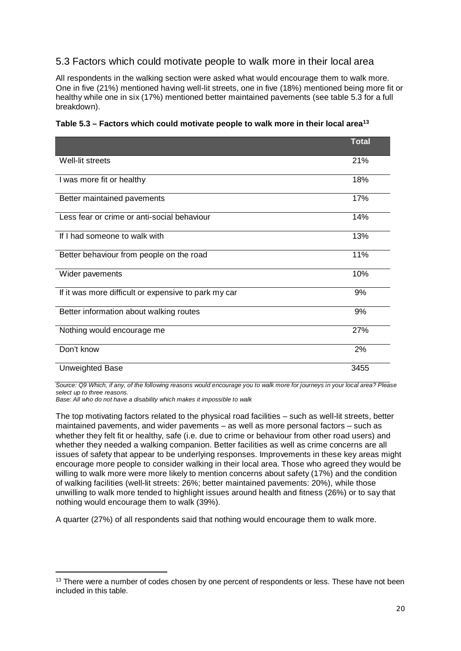### <span id="page-19-0"></span>5.3 Factors which could motivate people to walk more in their local area

All respondents in the walking section were asked what would encourage them to walk more. One in five (21%) mentioned having well-lit streets, one in five (18%) mentioned being more fit or healthy while one in six (17%) mentioned better maintained pavements (see table 5.3 for a full breakdown).

|                                                      | <b>Total</b> |
|------------------------------------------------------|--------------|
| Well-lit streets                                     | 21%          |
| I was more fit or healthy                            | 18%          |
| Better maintained pavements                          | 17%          |
| Less fear or crime or anti-social behaviour          | 14%          |
| If I had someone to walk with                        | 13%          |
| Better behaviour from people on the road             | 11%          |
| Wider pavements                                      | 10%          |
| If it was more difficult or expensive to park my car | 9%           |
| Better information about walking routes              | 9%           |
| Nothing would encourage me                           | 27%          |
| Don't know                                           | 2%           |
| Unweighted Base                                      | 3455         |

**Table 5.3 – Factors which could motivate people to walk more in their local area13**

*Source: Q9 Which, if any, of the following reasons would encourage you to walk more for journeys in your local area? Please select up to three reasons.*

*Base: All who do not have a disability which makes it impossible to walk*

The top motivating factors related to the physical road facilities – such as well-lit streets, better maintained pavements, and wider pavements – as well as more personal factors – such as whether they felt fit or healthy, safe (i.e. due to crime or behaviour from other road users) and whether they needed a walking companion. Better facilities as well as crime concerns are all issues of safety that appear to be underlying responses. Improvements in these key areas might encourage more people to consider walking in their local area. Those who agreed they would be willing to walk more were more likely to mention concerns about safety (17%) and the condition of walking facilities (well-lit streets: 26%; better maintained pavements: 20%), while those unwilling to walk more tended to highlight issues around health and fitness (26%) or to say that nothing would encourage them to walk (39%).

A quarter (27%) of all respondents said that nothing would encourage them to walk more.

<sup>-</sup><sup>13</sup> There were a number of codes chosen by one percent of respondents or less. These have not been included in this table.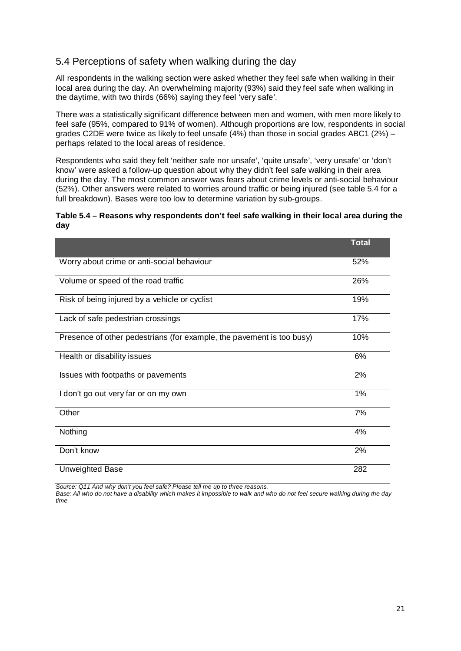### <span id="page-20-0"></span>5.4 Perceptions of safety when walking during the day

All respondents in the walking section were asked whether they feel safe when walking in their local area during the day. An overwhelming majority (93%) said they feel safe when walking in the daytime, with two thirds (66%) saying they feel 'very safe'.

There was a statistically significant difference between men and women, with men more likely to feel safe (95%, compared to 91% of women). Although proportions are low, respondents in social grades C2DE were twice as likely to feel unsafe  $(4%)$  than those in social grades ABC1  $(2%)$  – perhaps related to the local areas of residence.

Respondents who said they felt 'neither safe nor unsafe', 'quite unsafe', 'very unsafe' or 'don't know' were asked a follow-up question about why they didn't feel safe walking in their area during the day. The most common answer was fears about crime levels or anti-social behaviour (52%). Other answers were related to worries around traffic or being injured (see table 5.4 for a full breakdown). Bases were too low to determine variation by sub-groups.

#### **Table 5.4 – Reasons why respondents don't feel safe walking in their local area during the day**

|                                                                       | <b>Total</b> |
|-----------------------------------------------------------------------|--------------|
| Worry about crime or anti-social behaviour                            | 52%          |
| Volume or speed of the road traffic                                   | 26%          |
| Risk of being injured by a vehicle or cyclist                         | 19%          |
| Lack of safe pedestrian crossings                                     | 17%          |
| Presence of other pedestrians (for example, the pavement is too busy) | 10%          |
| Health or disability issues                                           | 6%           |
| Issues with footpaths or pavements                                    | 2%           |
| I don't go out very far or on my own                                  | 1%           |
| Other                                                                 | 7%           |
| Nothing                                                               | 4%           |
| Don't know                                                            | 2%           |
| <b>Unweighted Base</b>                                                | 282          |

*Source: Q11 And why don't you feel safe? Please tell me up to three reasons.*

*Base: All who do not have a disability which makes it impossible to walk and who do not feel secure walking during the day time*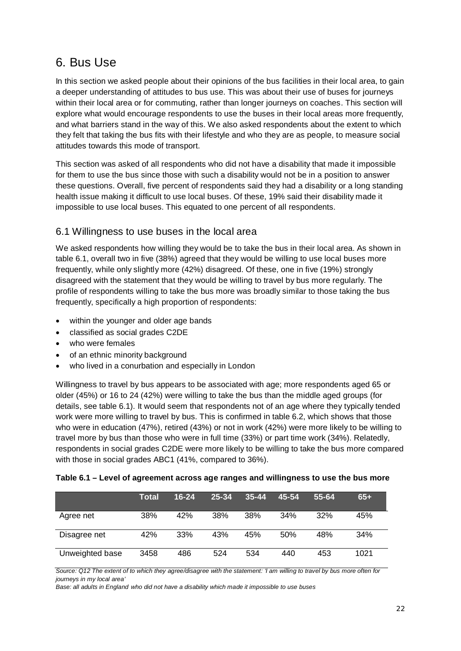### <span id="page-21-0"></span>6. Bus Use

In this section we asked people about their opinions of the bus facilities in their local area, to gain a deeper understanding of attitudes to bus use. This was about their use of buses for journeys within their local area or for commuting, rather than longer journeys on coaches. This section will explore what would encourage respondents to use the buses in their local areas more frequently, and what barriers stand in the way of this. We also asked respondents about the extent to which they felt that taking the bus fits with their lifestyle and who they are as people, to measure social attitudes towards this mode of transport.

This section was asked of all respondents who did not have a disability that made it impossible for them to use the bus since those with such a disability would not be in a position to answer these questions. Overall, five percent of respondents said they had a disability or a long standing health issue making it difficult to use local buses. Of these, 19% said their disability made it impossible to use local buses. This equated to one percent of all respondents.

### <span id="page-21-1"></span>6.1 Willingness to use buses in the local area

We asked respondents how willing they would be to take the bus in their local area. As shown in table 6.1, overall two in five (38%) agreed that they would be willing to use local buses more frequently, while only slightly more (42%) disagreed. Of these, one in five (19%) strongly disagreed with the statement that they would be willing to travel by bus more regularly. The profile of respondents willing to take the bus more was broadly similar to those taking the bus frequently, specifically a high proportion of respondents:

- within the younger and older age bands
- classified as social grades C2DE
- who were females
- of an ethnic minority background
- who lived in a conurbation and especially in London

Willingness to travel by bus appears to be associated with age; more respondents aged 65 or older (45%) or 16 to 24 (42%) were willing to take the bus than the middle aged groups (for details, see table 6.1). It would seem that respondents not of an age where they typically tended work were more willing to travel by bus. This is confirmed in table 6.2, which shows that those who were in education (47%), retired (43%) or not in work (42%) were more likely to be willing to travel more by bus than those who were in full time (33%) or part time work (34%). Relatedly, respondents in social grades C2DE were more likely to be willing to take the bus more compared with those in social grades ABC1 (41%, compared to 36%).

|                 | <b>Total</b> | $16 - 24$ | 25-34 | $35 - 44$ | 45-54 | 55-64 | $65+$ |
|-----------------|--------------|-----------|-------|-----------|-------|-------|-------|
| Agree net       | 38%          | 42%       | 38%   | 38%       | 34%   | 32%   | 45%   |
| Disagree net    | 42%          | 33%       | 43%   | 45%       | 50%   | 48%   | 34%   |
| Unweighted base | 3458         | 486       | 524   | 534       | 440   | 453   | 1021  |

| Table 6.1 – Level of agreement across age ranges and willingness to use the bus more |  |  |  |  |  |  |
|--------------------------------------------------------------------------------------|--|--|--|--|--|--|
|--------------------------------------------------------------------------------------|--|--|--|--|--|--|

*Source: Q12 The extent of to which they agree/disagree with the statement: 'I am willing to travel by bus more often for journeys in my local area'* 

*Base: all adults in England who did not have a disability which made it impossible to use buses*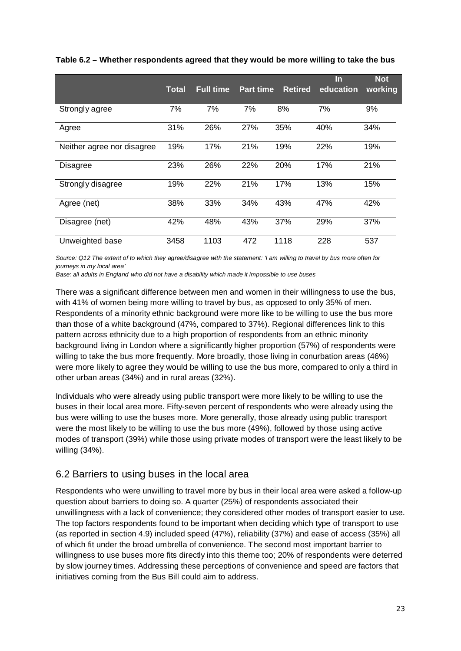|                            | <b>Total</b> | <b>Full time</b> | <b>Part time</b> | <b>Retired</b> | In.<br>education | <b>Not</b><br>working |
|----------------------------|--------------|------------------|------------------|----------------|------------------|-----------------------|
| Strongly agree             | 7%           | 7%               | 7%               | 8%             | 7%               | 9%                    |
| Agree                      | 31%          | 26%              | 27%              | 35%            | 40%              | 34%                   |
| Neither agree nor disagree | 19%          | 17%              | 21%              | 19%            | 22%              | 19%                   |
| <b>Disagree</b>            | 23%          | 26%              | 22%              | 20%            | 17%              | 21%                   |
| Strongly disagree          | 19%          | 22%              | 21%              | 17%            | 13%              | 15%                   |
| Agree (net)                | 38%          | 33%              | 34%              | 43%            | 47%              | 42%                   |
| Disagree (net)             | 42%          | 48%              | 43%              | 37%            | 29%              | 37%                   |
| Unweighted base            | 3458         | 1103             | 472              | 1118           | 228              | 537                   |

### **Table 6.2 – Whether respondents agreed that they would be more willing to take the bus**

*Source: Q12 The extent of to which they agree/disagree with the statement: 'I am willing to travel by bus more often for journeys in my local area'* 

*Base: all adults in England who did not have a disability which made it impossible to use buses*

There was a significant difference between men and women in their willingness to use the bus, with 41% of women being more willing to travel by bus, as opposed to only 35% of men. Respondents of a minority ethnic background were more like to be willing to use the bus more than those of a white background (47%, compared to 37%). Regional differences link to this pattern across ethnicity due to a high proportion of respondents from an ethnic minority background living in London where a significantly higher proportion (57%) of respondents were willing to take the bus more frequently. More broadly, those living in conurbation areas (46%) were more likely to agree they would be willing to use the bus more, compared to only a third in other urban areas (34%) and in rural areas (32%).

Individuals who were already using public transport were more likely to be willing to use the buses in their local area more. Fifty-seven percent of respondents who were already using the bus were willing to use the buses more. More generally, those already using public transport were the most likely to be willing to use the bus more (49%), followed by those using active modes of transport (39%) while those using private modes of transport were the least likely to be willing (34%).

### <span id="page-22-0"></span>6.2 Barriers to using buses in the local area

Respondents who were unwilling to travel more by bus in their local area were asked a follow-up question about barriers to doing so. A quarter (25%) of respondents associated their unwillingness with a lack of convenience; they considered other modes of transport easier to use. The top factors respondents found to be important when deciding which type of transport to use (as reported in section 4.9) included speed (47%), reliability (37%) and ease of access (35%) all of which fit under the broad umbrella of convenience. The second most important barrier to willingness to use buses more fits directly into this theme too; 20% of respondents were deterred by slow journey times. Addressing these perceptions of convenience and speed are factors that initiatives coming from the Bus Bill could aim to address.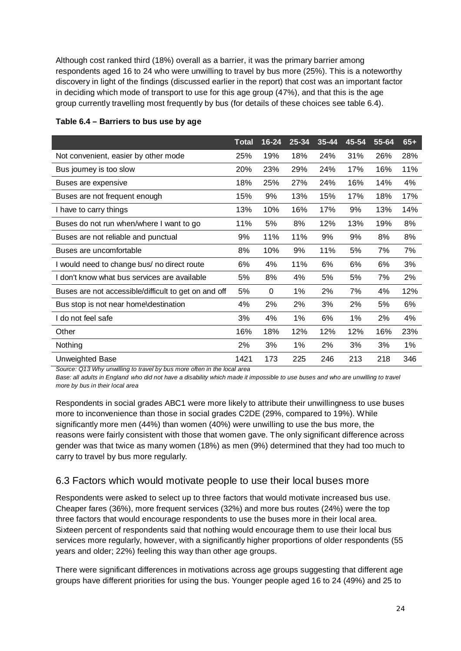Although cost ranked third (18%) overall as a barrier, it was the primary barrier among respondents aged 16 to 24 who were unwilling to travel by bus more (25%). This is a noteworthy discovery in light of the findings (discussed earlier in the report) that cost was an important factor in deciding which mode of transport to use for this age group (47%), and that this is the age group currently travelling most frequently by bus (for details of these choices see table 6.4).

|                                                      | <b>Total</b> | $16 - 24$ | $25 - 34$ | 35-44 | 45-54 | 55-64 | $65+$ |
|------------------------------------------------------|--------------|-----------|-----------|-------|-------|-------|-------|
| Not convenient, easier by other mode                 | 25%          | 19%       | 18%       | 24%   | 31%   | 26%   | 28%   |
| Bus journey is too slow                              | 20%          | 23%       | 29%       | 24%   | 17%   | 16%   | 11%   |
| Buses are expensive                                  | 18%          | 25%       | 27%       | 24%   | 16%   | 14%   | 4%    |
| Buses are not frequent enough                        | 15%          | 9%        | 13%       | 15%   | 17%   | 18%   | 17%   |
| I have to carry things                               | 13%          | 10%       | 16%       | 17%   | 9%    | 13%   | 14%   |
| Buses do not run when/where I want to go             | 11%          | 5%        | 8%        | 12%   | 13%   | 19%   | 8%    |
| Buses are not reliable and punctual                  | 9%           | 11%       | 11%       | 9%    | 9%    | 8%    | 8%    |
| Buses are uncomfortable                              | 8%           | 10%       | 9%        | 11%   | 5%    | 7%    | 7%    |
| I would need to change bus/ no direct route          | 6%           | 4%        | 11%       | 6%    | 6%    | 6%    | 3%    |
| I don't know what bus services are available         | 5%           | 8%        | 4%        | 5%    | 5%    | 7%    | 2%    |
| Buses are not accessible/difficult to get on and off | 5%           | 0         | 1%        | 2%    | 7%    | 4%    | 12%   |
| Bus stop is not near home\destination                | 4%           | 2%        | 2%        | 3%    | 2%    | 5%    | 6%    |
| do not feel safe                                     | 3%           | 4%        | $1\%$     | 6%    | $1\%$ | 2%    | 4%    |
| Other                                                | 16%          | 18%       | 12%       | 12%   | 12%   | 16%   | 23%   |
| Nothing                                              | 2%           | 3%        | 1%        | 2%    | 3%    | 3%    | 1%    |
| Unweighted Base                                      | 1421         | 173       | 225       | 246   | 213   | 218   | 346   |

#### **Table 6.4 – Barriers to bus use by age**

*Source: Q13 Why unwilling to travel by bus more often in the local area* 

*Base: all adults in England who did not have a disability which made it impossible to use buses and who are unwilling to travel more by bus in their local area*

Respondents in social grades ABC1 were more likely to attribute their unwillingness to use buses more to inconvenience than those in social grades C2DE (29%, compared to 19%). While significantly more men (44%) than women (40%) were unwilling to use the bus more, the reasons were fairly consistent with those that women gave. The only significant difference across gender was that twice as many women (18%) as men (9%) determined that they had too much to carry to travel by bus more regularly.

### <span id="page-23-0"></span>6.3 Factors which would motivate people to use their local buses more

Respondents were asked to select up to three factors that would motivate increased bus use. Cheaper fares (36%), more frequent services (32%) and more bus routes (24%) were the top three factors that would encourage respondents to use the buses more in their local area. Sixteen percent of respondents said that nothing would encourage them to use their local bus services more regularly, however, with a significantly higher proportions of older respondents (55 years and older; 22%) feeling this way than other age groups.

There were significant differences in motivations across age groups suggesting that different age groups have different priorities for using the bus. Younger people aged 16 to 24 (49%) and 25 to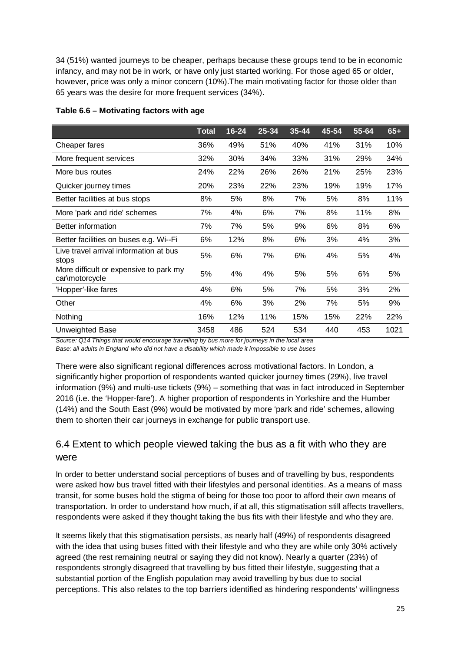34 (51%) wanted journeys to be cheaper, perhaps because these groups tend to be in economic infancy, and may not be in work, or have only just started working. For those aged 65 or older, however, price was only a minor concern (10%).The main motivating factor for those older than 65 years was the desire for more frequent services (34%).

|                                                          | <b>Total</b> | $16 - 24$ | 25-34 | $35 - 44$ | 45-54 | 55-64 | $65+$ |
|----------------------------------------------------------|--------------|-----------|-------|-----------|-------|-------|-------|
| Cheaper fares                                            | 36%          | 49%       | 51%   | 40%       | 41%   | 31%   | 10%   |
| More frequent services                                   | 32%          | 30%       | 34%   | 33%       | 31%   | 29%   | 34%   |
| More bus routes                                          | 24%          | 22%       | 26%   | 26%       | 21%   | 25%   | 23%   |
| Quicker journey times                                    | 20%          | 23%       | 22%   | 23%       | 19%   | 19%   | 17%   |
| Better facilities at bus stops                           | 8%           | 5%        | 8%    | 7%        | 5%    | 8%    | 11%   |
| More 'park and ride' schemes                             | 7%           | 4%        | 6%    | 7%        | 8%    | 11%   | 8%    |
| Better information                                       | 7%           | 7%        | 5%    | 9%        | 6%    | 8%    | 6%    |
| Better facilities on buses e.g. Wi--Fi                   | 6%           | 12%       | 8%    | 6%        | 3%    | 4%    | 3%    |
| Live travel arrival information at bus<br>stops          | 5%           | 6%        | 7%    | 6%        | 4%    | 5%    | 4%    |
| More difficult or expensive to park my<br>car\motorcycle | 5%           | 4%        | 4%    | 5%        | 5%    | 6%    | 5%    |
| 'Hopper'-like fares                                      | 4%           | 6%        | 5%    | 7%        | 5%    | 3%    | 2%    |
| Other                                                    | 4%           | 6%        | 3%    | 2%        | 7%    | 5%    | 9%    |
| Nothing                                                  | 16%          | 12%       | 11%   | 15%       | 15%   | 22%   | 22%   |
| Unweighted Base                                          | 3458         | 486       | 524   | 534       | 440   | 453   | 1021  |

### **Table 6.6 – Motivating factors with age**

*Source: Q14 Things that would encourage travelling by bus more for journeys in the local area* 

*Base: all adults in England who did not have a disability which made it impossible to use buses*

There were also significant regional differences across motivational factors. In London, a significantly higher proportion of respondents wanted quicker journey times (29%), live travel information (9%) and multi-use tickets (9%) – something that was in fact introduced in September 2016 (i.e. the 'Hopper-fare'). A higher proportion of respondents in Yorkshire and the Humber (14%) and the South East (9%) would be motivated by more 'park and ride' schemes, allowing them to shorten their car journeys in exchange for public transport use.

### <span id="page-24-0"></span>6.4 Extent to which people viewed taking the bus as a fit with who they are were

In order to better understand social perceptions of buses and of travelling by bus, respondents were asked how bus travel fitted with their lifestyles and personal identities. As a means of mass transit, for some buses hold the stigma of being for those too poor to afford their own means of transportation. In order to understand how much, if at all, this stigmatisation still affects travellers, respondents were asked if they thought taking the bus fits with their lifestyle and who they are.

It seems likely that this stigmatisation persists, as nearly half (49%) of respondents disagreed with the idea that using buses fitted with their lifestyle and who they are while only 30% actively agreed (the rest remaining neutral or saying they did not know). Nearly a quarter (23%) of respondents strongly disagreed that travelling by bus fitted their lifestyle, suggesting that a substantial portion of the English population may avoid travelling by bus due to social perceptions. This also relates to the top barriers identified as hindering respondents' willingness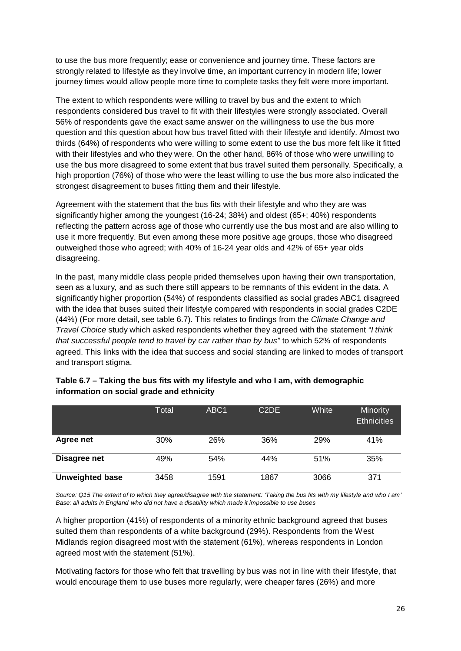to use the bus more frequently; ease or convenience and journey time. These factors are strongly related to lifestyle as they involve time, an important currency in modern life; lower journey times would allow people more time to complete tasks they felt were more important.

The extent to which respondents were willing to travel by bus and the extent to which respondents considered bus travel to fit with their lifestyles were strongly associated. Overall 56% of respondents gave the exact same answer on the willingness to use the bus more question and this question about how bus travel fitted with their lifestyle and identify. Almost two thirds (64%) of respondents who were willing to some extent to use the bus more felt like it fitted with their lifestyles and who they were. On the other hand, 86% of those who were unwilling to use the bus more disagreed to some extent that bus travel suited them personally. Specifically, a high proportion (76%) of those who were the least willing to use the bus more also indicated the strongest disagreement to buses fitting them and their lifestyle.

Agreement with the statement that the bus fits with their lifestyle and who they are was significantly higher among the youngest (16-24; 38%) and oldest (65+; 40%) respondents reflecting the pattern across age of those who currently use the bus most and are also willing to use it more frequently. But even among these more positive age groups, those who disagreed outweighed those who agreed; with 40% of 16-24 year olds and 42% of 65+ year olds disagreeing.

In the past, many middle class people prided themselves upon having their own transportation, seen as a luxury, and as such there still appears to be remnants of this evident in the data. A significantly higher proportion (54%) of respondents classified as social grades ABC1 disagreed with the idea that buses suited their lifestyle compared with respondents in social grades C2DE (44%) (For more detail, see table 6.7). This relates to findings from the *Climate Change and Travel Choice* study which asked respondents whether they agreed with the statement *"I think that successful people tend to travel by car rather than by bus"* to which 52% of respondents agreed. This links with the idea that success and social standing are linked to modes of transport and transport stigma.

|                        | Total | ABC <sub>1</sub> | C <sub>2</sub> D <sub>E</sub> | White | Minority<br><b>Ethnicities</b> |
|------------------------|-------|------------------|-------------------------------|-------|--------------------------------|
| Agree net              | 30%   | 26%              | 36%                           | 29%   | 41%                            |
| Disagree net           | 49%   | 54%              | 44%                           | 51%   | 35%                            |
| <b>Unweighted base</b> | 3458  | 1591             | 1867                          | 3066  | 371                            |

### **Table 6.7 – Taking the bus fits with my lifestyle and who I am, with demographic information on social grade and ethnicity**

*Source: Q15 The extent of to which they agree/disagree with the statement: 'Taking the bus fits with my lifestyle and who I am' Base: all adults in England who did not have a disability which made it impossible to use buses*

A higher proportion (41%) of respondents of a minority ethnic background agreed that buses suited them than respondents of a white background (29%). Respondents from the West Midlands region disagreed most with the statement (61%), whereas respondents in London agreed most with the statement (51%).

Motivating factors for those who felt that travelling by bus was not in line with their lifestyle, that would encourage them to use buses more regularly, were cheaper fares (26%) and more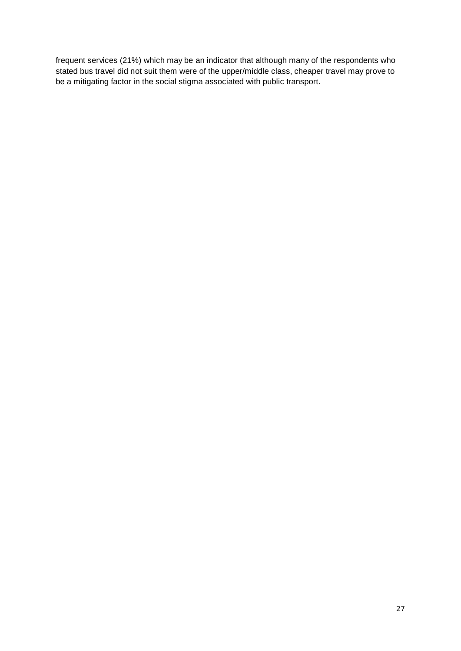frequent services (21%) which may be an indicator that although many of the respondents who stated bus travel did not suit them were of the upper/middle class, cheaper travel may prove to be a mitigating factor in the social stigma associated with public transport.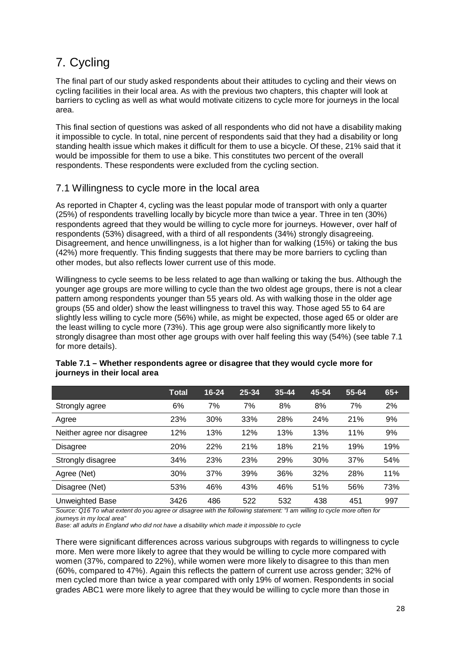## <span id="page-27-0"></span>7. Cycling

The final part of our study asked respondents about their attitudes to cycling and their views on cycling facilities in their local area. As with the previous two chapters, this chapter will look at barriers to cycling as well as what would motivate citizens to cycle more for journeys in the local area.

This final section of questions was asked of all respondents who did not have a disability making it impossible to cycle. In total, nine percent of respondents said that they had a disability or long standing health issue which makes it difficult for them to use a bicycle. Of these, 21% said that it would be impossible for them to use a bike. This constitutes two percent of the overall respondents. These respondents were excluded from the cycling section.

### <span id="page-27-1"></span>7.1 Willingness to cycle more in the local area

As reported in Chapter 4, cycling was the least popular mode of transport with only a quarter (25%) of respondents travelling locally by bicycle more than twice a year. Three in ten (30%) respondents agreed that they would be willing to cycle more for journeys. However, over half of respondents (53%) disagreed, with a third of all respondents (34%) strongly disagreeing. Disagreement, and hence unwillingness, is a lot higher than for walking (15%) or taking the bus (42%) more frequently. This finding suggests that there may be more barriers to cycling than other modes, but also reflects lower current use of this mode.

Willingness to cycle seems to be less related to age than walking or taking the bus. Although the younger age groups are more willing to cycle than the two oldest age groups, there is not a clear pattern among respondents younger than 55 years old. As with walking those in the older age groups (55 and older) show the least willingness to travel this way. Those aged 55 to 64 are slightly less willing to cycle more (56%) while, as might be expected, those aged 65 or older are the least willing to cycle more (73%). This age group were also significantly more likely to strongly disagree than most other age groups with over half feeling this way (54%) (see table 7.1 for more details).

|                            | <b>Total</b> | $16 - 24$ | 25-34 | $35 - 44$ | 45-54 | 55-64 | $65+$ |
|----------------------------|--------------|-----------|-------|-----------|-------|-------|-------|
| Strongly agree             | 6%           | 7%        | 7%    | 8%        | 8%    | 7%    | 2%    |
| Agree                      | 23%          | 30%       | 33%   | 28%       | 24%   | 21%   | 9%    |
| Neither agree nor disagree | 12%          | 13%       | 12%   | 13%       | 13%   | 11%   | 9%    |
| <b>Disagree</b>            | 20%          | 22%       | 21%   | 18%       | 21%   | 19%   | 19%   |
| Strongly disagree          | 34%          | 23%       | 23%   | 29%       | 30%   | 37%   | 54%   |
| Agree (Net)                | 30%          | 37%       | 39%   | 36%       | 32%   | 28%   | 11%   |
| Disagree (Net)             | 53%          | 46%       | 43%   | 46%       | 51%   | 56%   | 73%   |
| Unweighted Base            | 3426         | 486       | 522   | 532       | 438   | 451   | 997   |

| Table 7.1 – Whether respondents agree or disagree that they would cycle more for |  |
|----------------------------------------------------------------------------------|--|
| journeys in their local area                                                     |  |

*Source: Q16 To what extent do you agree or disagree with the following statement: "I am willing to cycle more often for journeys in my local area"* 

*Base: all adults in England who did not have a disability which made it impossible to cycle*

There were significant differences across various subgroups with regards to willingness to cycle more. Men were more likely to agree that they would be willing to cycle more compared with women (37%, compared to 22%), while women were more likely to disagree to this than men (60%, compared to 47%). Again this reflects the pattern of current use across gender; 32% of men cycled more than twice a year compared with only 19% of women. Respondents in social grades ABC1 were more likely to agree that they would be willing to cycle more than those in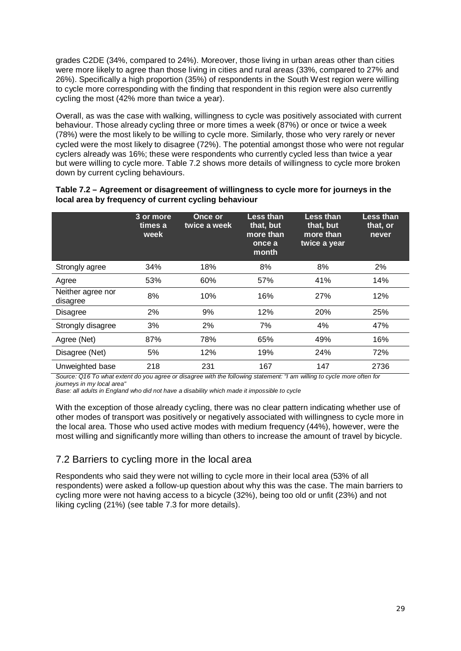grades C2DE (34%, compared to 24%). Moreover, those living in urban areas other than cities were more likely to agree than those living in cities and rural areas (33%, compared to 27% and 26%). Specifically a high proportion (35%) of respondents in the South West region were willing to cycle more corresponding with the finding that respondent in this region were also currently cycling the most (42% more than twice a year).

Overall, as was the case with walking, willingness to cycle was positively associated with current behaviour. Those already cycling three or more times a week (87%) or once or twice a week (78%) were the most likely to be willing to cycle more. Similarly, those who very rarely or never cycled were the most likely to disagree (72%). The potential amongst those who were not regular cyclers already was 16%; these were respondents who currently cycled less than twice a year but were willing to cycle more. Table 7.2 shows more details of willingness to cycle more broken down by current cycling behaviours.

|                               | 3 or more<br>times a<br>week <sup>'</sup> | <b>Once or</b><br>twice a week | Less than<br>that, but<br>more than<br>once a<br>month | Less than<br>that, but<br>more than<br>twice a year | Less than<br>that, or<br>never |
|-------------------------------|-------------------------------------------|--------------------------------|--------------------------------------------------------|-----------------------------------------------------|--------------------------------|
| Strongly agree                | 34%                                       | 18%                            | 8%                                                     | 8%                                                  | 2%                             |
| Agree                         | 53%                                       | 60%                            | 57%                                                    | 41%                                                 | 14%                            |
| Neither agree nor<br>disagree | 8%                                        | 10%                            | 16%                                                    | 27%                                                 | 12%                            |
| <b>Disagree</b>               | 2%                                        | 9%                             | 12%                                                    | <b>20%</b>                                          | 25%                            |
| Strongly disagree             | 3%                                        | 2%                             | 7%                                                     | 4%                                                  | 47%                            |
| Agree (Net)                   | 87%                                       | 78%                            | 65%                                                    | 49%                                                 | 16%                            |
| Disagree (Net)                | 5%                                        | 12%                            | 19%                                                    | 24%                                                 | 72%                            |
| Unweighted base               | 218                                       | 231                            | 167                                                    | 147                                                 | 2736                           |

#### **Table 7.2 – Agreement or disagreement of willingness to cycle more for journeys in the local area by frequency of current cycling behaviour**

*Source: Q16 To what extent do you agree or disagree with the following statement: "I am willing to cycle more often for journeys in my local area"* 

*Base: all adults in England who did not have a disability which made it impossible to cycle*

With the exception of those already cycling, there was no clear pattern indicating whether use of other modes of transport was positively or negatively associated with willingness to cycle more in the local area. Those who used active modes with medium frequency (44%), however, were the most willing and significantly more willing than others to increase the amount of travel by bicycle.

### <span id="page-28-0"></span>7.2 Barriers to cycling more in the local area

Respondents who said they were not willing to cycle more in their local area (53% of all respondents) were asked a follow-up question about why this was the case. The main barriers to cycling more were not having access to a bicycle (32%), being too old or unfit (23%) and not liking cycling (21%) (see table 7.3 for more details).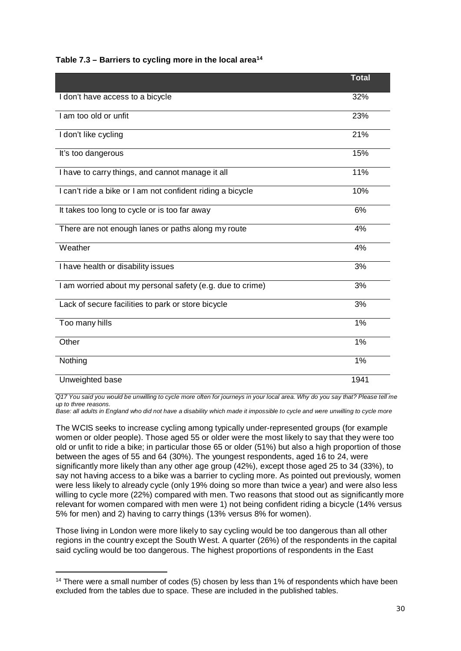#### **Table 7.3 – Barriers to cycling more in the local area14**

|                                                            | <b>Total</b> |
|------------------------------------------------------------|--------------|
| I don't have access to a bicycle                           | 32%          |
| I am too old or unfit                                      | 23%          |
| I don't like cycling                                       | 21%          |
| It's too dangerous                                         | 15%          |
| I have to carry things, and cannot manage it all           | 11%          |
| I can't ride a bike or I am not confident riding a bicycle | 10%          |
| It takes too long to cycle or is too far away              | 6%           |
| There are not enough lanes or paths along my route         | 4%           |
| Weather                                                    | 4%           |
| I have health or disability issues                         | 3%           |
| I am worried about my personal safety (e.g. due to crime)  | 3%           |
| Lack of secure facilities to park or store bicycle         | 3%           |
| Too many hills                                             | $1\%$        |
| Other                                                      | 1%           |
| Nothing                                                    | 1%           |
| Unweighted base                                            | 1941         |

*Q17 You said you would be unwilling to cycle more often for journeys in your local area. Why do you say that? Please tell me up to three reasons.* 

*Base: all adults in England who did not have a disability which made it impossible to cycle and were unwilling to cycle more*

The WCIS seeks to increase cycling among typically under-represented groups (for example women or older people). Those aged 55 or older were the most likely to say that they were too old or unfit to ride a bike; in particular those 65 or older (51%) but also a high proportion of those between the ages of 55 and 64 (30%). The youngest respondents, aged 16 to 24, were significantly more likely than any other age group (42%), except those aged 25 to 34 (33%), to say not having access to a bike was a barrier to cycling more. As pointed out previously, women were less likely to already cycle (only 19% doing so more than twice a year) and were also less willing to cycle more (22%) compared with men. Two reasons that stood out as significantly more relevant for women compared with men were 1) not being confident riding a bicycle (14% versus 5% for men) and 2) having to carry things (13% versus 8% for women).

Those living in London were more likely to say cycling would be too dangerous than all other regions in the country except the South West. A quarter (26%) of the respondents in the capital said cycling would be too dangerous. The highest proportions of respondents in the East

<sup>-</sup><sup>14</sup> There were a small number of codes (5) chosen by less than 1% of respondents which have been excluded from the tables due to space. These are included in the published tables.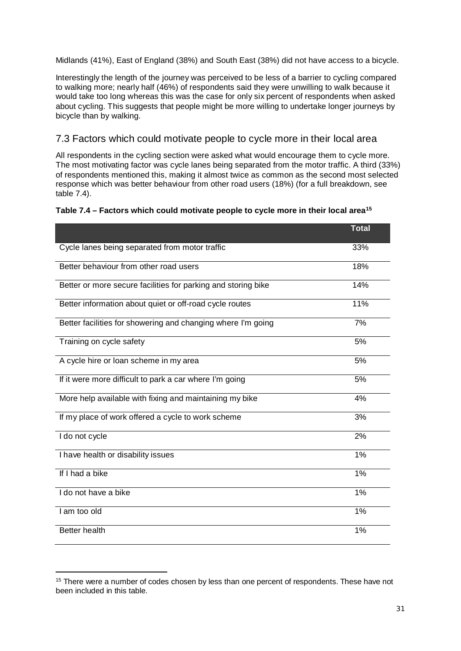Midlands (41%), East of England (38%) and South East (38%) did not have access to a bicycle.

Interestingly the length of the journey was perceived to be less of a barrier to cycling compared to walking more; nearly half (46%) of respondents said they were unwilling to walk because it would take too long whereas this was the case for only six percent of respondents when asked about cycling. This suggests that people might be more willing to undertake longer journeys by bicycle than by walking.

### <span id="page-30-0"></span>7.3 Factors which could motivate people to cycle more in their local area

All respondents in the cycling section were asked what would encourage them to cycle more. The most motivating factor was cycle lanes being separated from the motor traffic. A third (33%) of respondents mentioned this, making it almost twice as common as the second most selected response which was better behaviour from other road users (18%) (for a full breakdown, see table 7.4).

| Table 7.4 – Factors which could motivate people to cycle more in their local area <sup>15</sup> |  |  |
|-------------------------------------------------------------------------------------------------|--|--|
|-------------------------------------------------------------------------------------------------|--|--|

|                                                               | <b>Total</b> |
|---------------------------------------------------------------|--------------|
| Cycle lanes being separated from motor traffic                | 33%          |
| Better behaviour from other road users                        | 18%          |
| Better or more secure facilities for parking and storing bike | 14%          |
| Better information about quiet or off-road cycle routes       | 11%          |
| Better facilities for showering and changing where I'm going  | 7%           |
| Training on cycle safety                                      | 5%           |
| A cycle hire or loan scheme in my area                        | 5%           |
| If it were more difficult to park a car where I'm going       | 5%           |
| More help available with fixing and maintaining my bike       | 4%           |
| If my place of work offered a cycle to work scheme            | 3%           |
| I do not cycle                                                | 2%           |
| I have health or disability issues                            | 1%           |
| If I had a bike                                               | 1%           |
| I do not have a bike                                          | 1%           |
| I am too old                                                  | 1%           |
| <b>Better health</b>                                          | 1%           |

<sup>-</sup><sup>15</sup> There were a number of codes chosen by less than one percent of respondents. These have not been included in this table.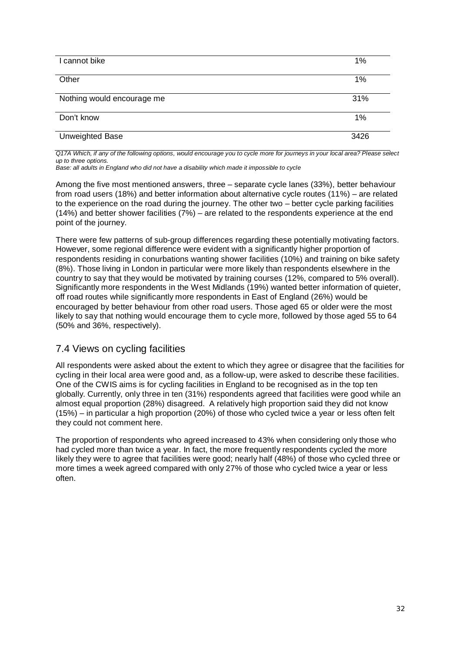| I cannot bike              | 1%   |
|----------------------------|------|
| Other                      | 1%   |
| Nothing would encourage me | 31%  |
| Don't know                 | 1%   |
| Unweighted Base            | 3426 |

*Q17A Which, if any of the following options, would encourage you to cycle more for journeys in your local area? Please select up to three options.* 

*Base: all adults in England who did not have a disability which made it impossible to cycle* 

Among the five most mentioned answers, three – separate cycle lanes (33%), better behaviour from road users (18%) and better information about alternative cycle routes (11%) – are related to the experience on the road during the journey. The other two – better cycle parking facilities (14%) and better shower facilities (7%) – are related to the respondents experience at the end point of the journey.

There were few patterns of sub-group differences regarding these potentially motivating factors. However, some regional difference were evident with a significantly higher proportion of respondents residing in conurbations wanting shower facilities (10%) and training on bike safety (8%). Those living in London in particular were more likely than respondents elsewhere in the country to say that they would be motivated by training courses (12%, compared to 5% overall). Significantly more respondents in the West Midlands (19%) wanted better information of quieter, off road routes while significantly more respondents in East of England (26%) would be encouraged by better behaviour from other road users. Those aged 65 or older were the most likely to say that nothing would encourage them to cycle more, followed by those aged 55 to 64 (50% and 36%, respectively).

### <span id="page-31-0"></span>7.4 Views on cycling facilities

All respondents were asked about the extent to which they agree or disagree that the facilities for cycling in their local area were good and, as a follow-up, were asked to describe these facilities. One of the CWIS aims is for cycling facilities in England to be recognised as in the top ten globally. Currently, only three in ten (31%) respondents agreed that facilities were good while an almost equal proportion (28%) disagreed. A relatively high proportion said they did not know (15%) – in particular a high proportion (20%) of those who cycled twice a year or less often felt they could not comment here.

The proportion of respondents who agreed increased to 43% when considering only those who had cycled more than twice a year. In fact, the more frequently respondents cycled the more likely they were to agree that facilities were good; nearly half (48%) of those who cycled three or more times a week agreed compared with only 27% of those who cycled twice a year or less often.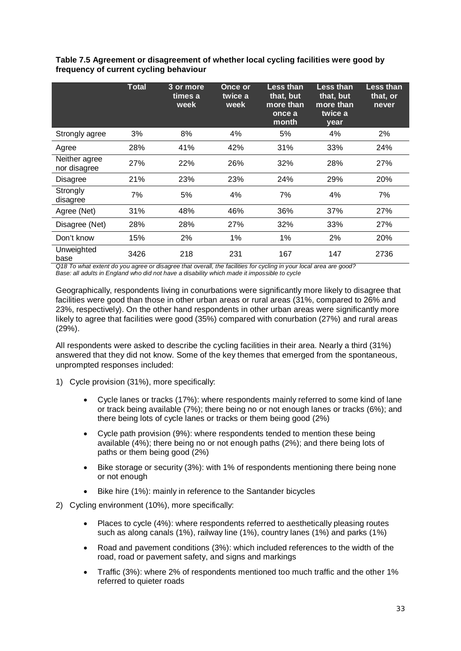|                               | <b>Total</b> | 3 or more<br>times a<br>week | Once or<br>twice a<br>week | Less than<br>that, but<br>more than<br>once a<br>month | <b>Less than</b><br>that, but<br>more than<br>twice a<br>year | Less than<br>that, or<br>never |
|-------------------------------|--------------|------------------------------|----------------------------|--------------------------------------------------------|---------------------------------------------------------------|--------------------------------|
| Strongly agree                | 3%           | 8%                           | 4%                         | 5%                                                     | 4%                                                            | 2%                             |
| Agree                         | 28%          | 41%                          | 42%                        | 31%                                                    | 33%                                                           | 24%                            |
| Neither agree<br>nor disagree | 27%          | 22%                          | 26%                        | 32%                                                    | 28%                                                           | 27%                            |
| <b>Disagree</b>               | 21%          | 23%                          | 23%                        | 24%                                                    | 29%                                                           | 20%                            |
| Strongly<br>disagree          | 7%           | 5%                           | 4%                         | 7%                                                     | 4%                                                            | 7%                             |
| Agree (Net)                   | 31%          | 48%                          | 46%                        | 36%                                                    | 37%                                                           | 27%                            |
| Disagree (Net)                | 28%          | 28%                          | 27%                        | 32%                                                    | 33%                                                           | 27%                            |
| Don't know                    | 15%          | 2%                           | 1%                         | 1%                                                     | 2%                                                            | 20%                            |
| Unweighted<br>base            | 3426         | 218                          | 231                        | 167                                                    | 147                                                           | 2736                           |

### **Table 7.5 Agreement or disagreement of whether local cycling facilities were good by frequency of current cycling behaviour**

*Q18 To what extent do you agree or disagree that overall, the facilities for cycling in your local area are good? Base: all adults in England who did not have a disability which made it impossible to cycle* 

Geographically, respondents living in conurbations were significantly more likely to disagree that facilities were good than those in other urban areas or rural areas (31%, compared to 26% and 23%, respectively). On the other hand respondents in other urban areas were significantly more likely to agree that facilities were good (35%) compared with conurbation (27%) and rural areas (29%).

All respondents were asked to describe the cycling facilities in their area. Nearly a third (31%) answered that they did not know. Some of the key themes that emerged from the spontaneous, unprompted responses included:

- 1) Cycle provision (31%), more specifically:
	- Cycle lanes or tracks (17%): where respondents mainly referred to some kind of lane or track being available (7%); there being no or not enough lanes or tracks (6%); and there being lots of cycle lanes or tracks or them being good (2%)
	- Cycle path provision (9%): where respondents tended to mention these being available (4%); there being no or not enough paths (2%); and there being lots of paths or them being good (2%)
	- Bike storage or security (3%): with 1% of respondents mentioning there being none or not enough
	- Bike hire (1%): mainly in reference to the Santander bicycles
- 2) Cycling environment (10%), more specifically:
	- Places to cycle (4%): where respondents referred to aesthetically pleasing routes such as along canals (1%), railway line (1%), country lanes (1%) and parks (1%)
	- Road and pavement conditions (3%): which included references to the width of the road, road or pavement safety, and signs and markings
	- Traffic (3%): where 2% of respondents mentioned too much traffic and the other 1% referred to quieter roads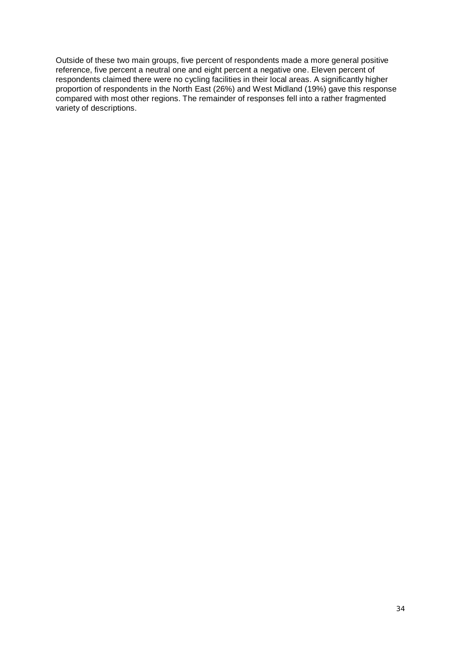Outside of these two main groups, five percent of respondents made a more general positive reference, five percent a neutral one and eight percent a negative one. Eleven percent of respondents claimed there were no cycling facilities in their local areas. A significantly higher proportion of respondents in the North East (26%) and West Midland (19%) gave this response compared with most other regions. The remainder of responses fell into a rather fragmented variety of descriptions.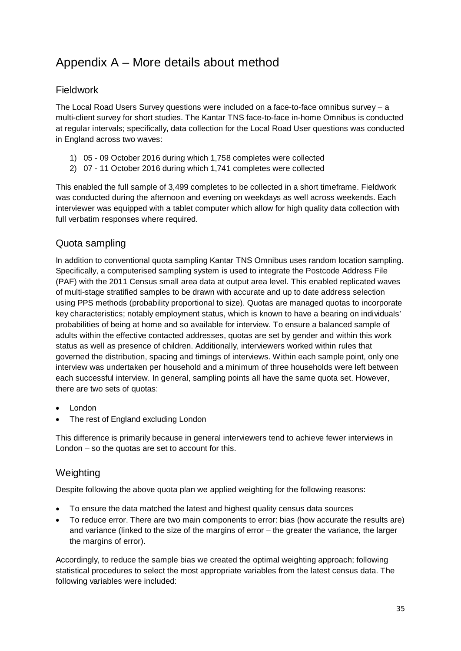## <span id="page-34-0"></span>Appendix A – More details about method

### <span id="page-34-1"></span>Fieldwork

The Local Road Users Survey questions were included on a face-to-face omnibus survey  $- a$ multi-client survey for short studies. The Kantar TNS face-to-face in-home Omnibus is conducted at regular intervals; specifically, data collection for the Local Road User questions was conducted in England across two waves:

- 1) 05 09 October 2016 during which 1,758 completes were collected
- 2) 07 11 October 2016 during which 1,741 completes were collected

This enabled the full sample of 3,499 completes to be collected in a short timeframe. Fieldwork was conducted during the afternoon and evening on weekdays as well across weekends. Each interviewer was equipped with a tablet computer which allow for high quality data collection with full verbatim responses where required.

### <span id="page-34-2"></span>Quota sampling

In addition to conventional quota sampling Kantar TNS Omnibus uses random location sampling. Specifically, a computerised sampling system is used to integrate the Postcode Address File (PAF) with the 2011 Census small area data at output area level. This enabled replicated waves of multi-stage stratified samples to be drawn with accurate and up to date address selection using PPS methods (probability proportional to size). Quotas are managed quotas to incorporate key characteristics; notably employment status, which is known to have a bearing on individuals' probabilities of being at home and so available for interview. To ensure a balanced sample of adults within the effective contacted addresses, quotas are set by gender and within this work status as well as presence of children. Additionally, interviewers worked within rules that governed the distribution, spacing and timings of interviews. Within each sample point, only one interview was undertaken per household and a minimum of three households were left between each successful interview. In general, sampling points all have the same quota set. However, there are two sets of quotas:

- London
- The rest of England excluding London

This difference is primarily because in general interviewers tend to achieve fewer interviews in London – so the quotas are set to account for this.

### <span id="page-34-3"></span>**Weighting**

Despite following the above quota plan we applied weighting for the following reasons:

- To ensure the data matched the latest and highest quality census data sources
- To reduce error. There are two main components to error: bias (how accurate the results are) and variance (linked to the size of the margins of error – the greater the variance, the larger the margins of error).

Accordingly, to reduce the sample bias we created the optimal weighting approach; following statistical procedures to select the most appropriate variables from the latest census data. The following variables were included: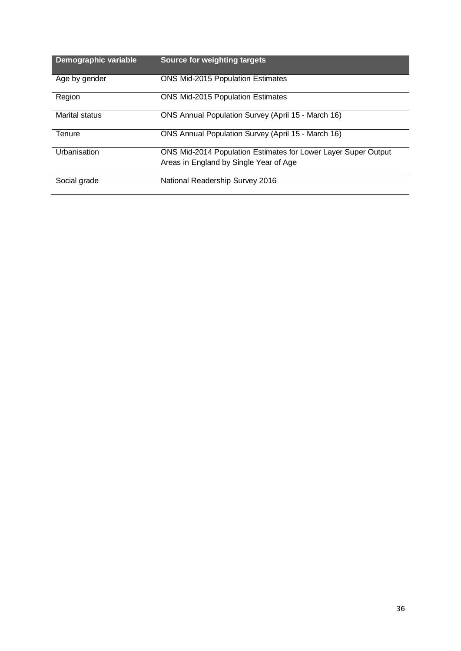| Demographic variable | Source for weighting targets                                   |
|----------------------|----------------------------------------------------------------|
| Age by gender        | <b>ONS Mid-2015 Population Estimates</b>                       |
| Region               | <b>ONS Mid-2015 Population Estimates</b>                       |
| Marital status       | ONS Annual Population Survey (April 15 - March 16)             |
| Tenure               | ONS Annual Population Survey (April 15 - March 16)             |
| Urbanisation         | ONS Mid-2014 Population Estimates for Lower Layer Super Output |
|                      | Areas in England by Single Year of Age                         |
| Social grade         | National Readership Survey 2016                                |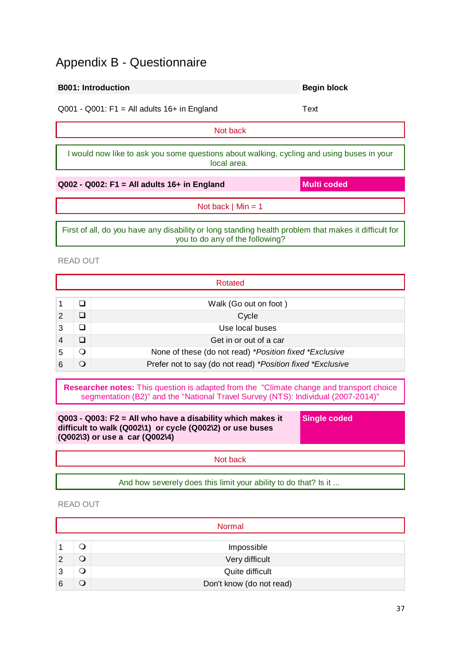### <span id="page-36-0"></span>Appendix B - Questionnaire

# $Q001 - Q001$ : F1 = All adults  $16+$  in England Text Not back I would now like to ask you some questions about walking, cycling and using buses in your local area. **Q002 - Q002: F1 = All adults 16+ in England Multi coded** Not back  $\vert$  Min = 1 First of all, do you have any disability or long standing health problem that makes it difficult for you to do any of the following?

READ OUT

|   | Rotated |                                                            |  |  |  |
|---|---------|------------------------------------------------------------|--|--|--|
|   |         |                                                            |  |  |  |
|   |         | Walk (Go out on foot)                                      |  |  |  |
| 2 | □       | Cycle                                                      |  |  |  |
| 3 | ❏       | Use local buses                                            |  |  |  |
|   |         | Get in or out of a car                                     |  |  |  |
|   | ⊖ )     | None of these (do not read) *Position fixed *Exclusive     |  |  |  |
|   |         | Prefer not to say (do not read) *Position fixed *Exclusive |  |  |  |

**Researcher notes:** This question is adapted from the "Climate change and transport choice segmentation (B2)" and the "National Travel Survey (NTS): Individual (2007-2014)"

**Q003 - Q003: F2 = All who have a disability which makes it difficult to walk (Q002\1) or cycle (Q002\2) or use buses (Q002\3) or use a car (Q002\4)**

**Single coded**

Not back

And how severely does this limit your ability to do that? Is it ...

### READ OUT

|   | <b>Normal</b> |                          |  |  |  |
|---|---------------|--------------------------|--|--|--|
|   |               |                          |  |  |  |
|   | O             | Impossible               |  |  |  |
|   | Ő             | Very difficult           |  |  |  |
| 3 | ◡             | Quite difficult          |  |  |  |
| 6 |               | Don't know (do not read) |  |  |  |

**B001: Introduction Begin block**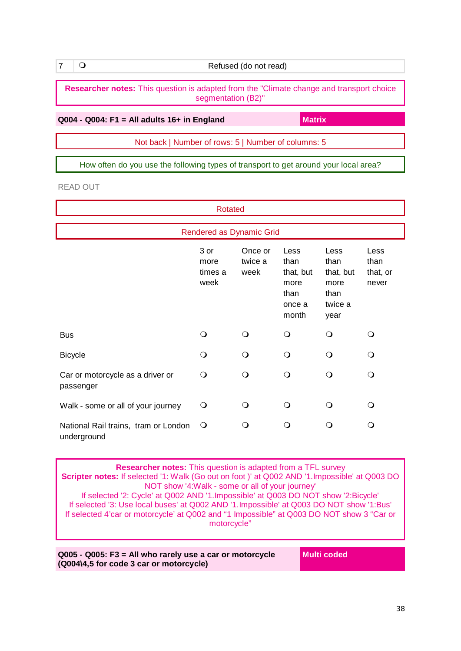**7 O Refused (do not read)** 

**Researcher notes:** This question is adapted from the "Climate change and transport choice segmentation (B2)"

**Q004 - Q004: F1 = All adults 16+ in England Matrix** 

Not back | Number of rows: 5 | Number of columns: 5

How often do you use the following types of transport to get around your local area?

READ OUT

| <b>Rotated</b>                                      |                                 |                            |                                                              |                                                              |                                   |
|-----------------------------------------------------|---------------------------------|----------------------------|--------------------------------------------------------------|--------------------------------------------------------------|-----------------------------------|
|                                                     | Rendered as Dynamic Grid        |                            |                                                              |                                                              |                                   |
|                                                     | 3 or<br>more<br>times a<br>week | Once or<br>twice a<br>week | Less<br>than<br>that, but<br>more<br>than<br>once a<br>month | Less<br>than<br>that, but<br>more<br>than<br>twice a<br>year | Less<br>than<br>that, or<br>never |
| <b>Bus</b>                                          | $\Omega$                        | $\Omega$                   | $\Omega$                                                     | $\circ$                                                      | ∩                                 |
| <b>Bicycle</b>                                      | ∩                               | $\Omega$                   | $\Omega$                                                     | $\Omega$                                                     | Q                                 |
| Car or motorcycle as a driver or<br>passenger       | Q                               | $\Omega$                   | $\Omega$                                                     | $\Omega$                                                     | Q                                 |
| Walk - some or all of your journey                  | Q                               | ∩                          | ∩                                                            | ∩                                                            | ∩                                 |
| National Rail trains, tram or London<br>underground | $\Omega$                        | O                          | ∩                                                            | O                                                            | ∩                                 |

**Researcher notes:** This question is adapted from a TFL survey **Scripter notes:** If selected '1: Walk (Go out on foot )' at Q002 AND '1.Impossible' at Q003 DO NOT show '4:Walk - some or all of your journey' If selected '2: Cycle' at Q002 AND '1.Impossible' at Q003 DO NOT show '2:Bicycle' If selected '3: Use local buses' at Q002 AND '1.Impossible' at Q003 DO NOT show '1:Bus' If selected 4'car or motorcycle' at Q002 and "1 Impossible" at Q003 DO NOT show 3 "Car or motorcycle"

**Q005 - Q005: F3 = All who rarely use a car or motorcycle (Q004\4,5 for code 3 car or motorcycle)**

**Multi coded**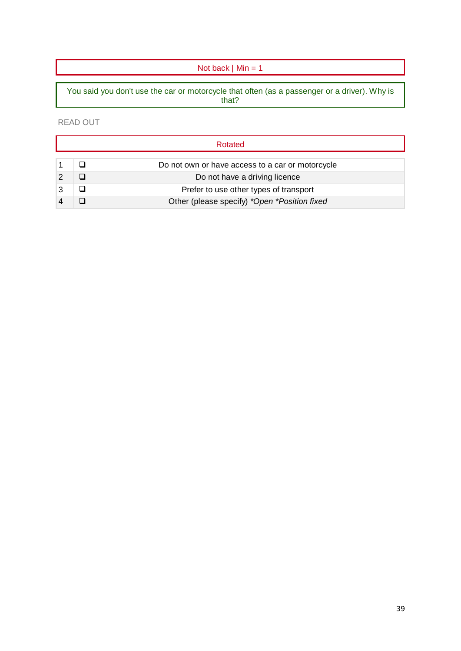### Not back  $\mid$  Min = 1

You said you don't use the car or motorcycle that often (as a passenger or a driver). Why is that?

READ OUT

|  | Rotated                                          |
|--|--------------------------------------------------|
|  | Do not own or have access to a car or motorcycle |
|  | Do not have a driving licence                    |
|  | Prefer to use other types of transport           |
|  | Other (please specify) *Open *Position fixed     |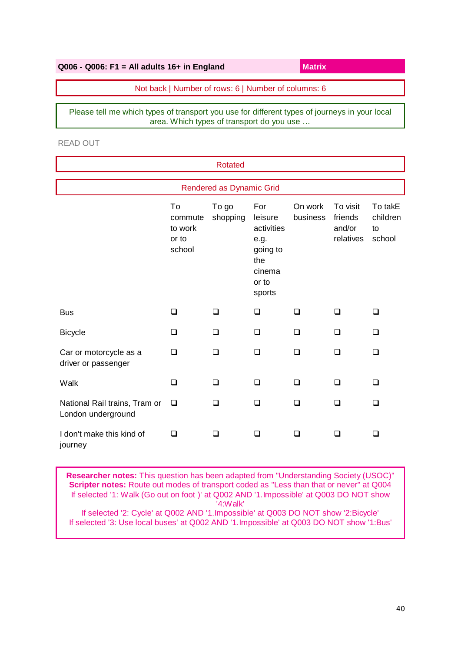| $Q006 - Q006$ : F1 = All adults 16+ in England      | Matrix |
|-----------------------------------------------------|--------|
| Not back   Number of rows: 6   Number of columns: 6 |        |

Please tell me which types of transport you use for different types of journeys in your local area. Which types of transport do you use …

READ OUT

|                                                     |                                             | <b>Rotated</b>           |                                                                                      |                     |                                            |                                     |
|-----------------------------------------------------|---------------------------------------------|--------------------------|--------------------------------------------------------------------------------------|---------------------|--------------------------------------------|-------------------------------------|
|                                                     |                                             | Rendered as Dynamic Grid |                                                                                      |                     |                                            |                                     |
|                                                     | To<br>commute<br>to work<br>or to<br>school | To go<br>shopping        | For<br>leisure<br>activities<br>e.g.<br>going to<br>the<br>cinema<br>or to<br>sports | On work<br>business | To visit<br>friends<br>and/or<br>relatives | To takE<br>children<br>to<br>school |
| <b>Bus</b>                                          | □                                           | ❏                        | □                                                                                    | $\Box$              | ◻                                          | ❏                                   |
| <b>Bicycle</b>                                      | □                                           | □                        | $\Box$                                                                               | ❏                   | ◻                                          | ◻                                   |
| Car or motorcycle as a<br>driver or passenger       | □                                           | □                        | $\Box$                                                                               | $\Box$              | □                                          | ◻                                   |
| Walk                                                | ❏                                           | □                        | $\Box$                                                                               | ❏                   | ◻                                          | ❏                                   |
| National Rail trains, Tram or<br>London underground | □                                           | ◻                        | □                                                                                    | □                   | ◻                                          | □                                   |
| I don't make this kind of<br>journey                | □                                           | ◻                        | □                                                                                    | ❏                   | ◻                                          | ❏                                   |

**Researcher notes:** This question has been adapted from "Understanding Society (USOC)" **Scripter notes:** Route out modes of transport coded as "Less than that or never" at Q004 If selected '1: Walk (Go out on foot )' at Q002 AND '1.Impossible' at Q003 DO NOT show '4:Walk' If selected '2: Cycle' at Q002 AND '1.Impossible' at Q003 DO NOT show '2:Bicycle'

If selected '3: Use local buses' at Q002 AND '1.Impossible' at Q003 DO NOT show '1:Bus'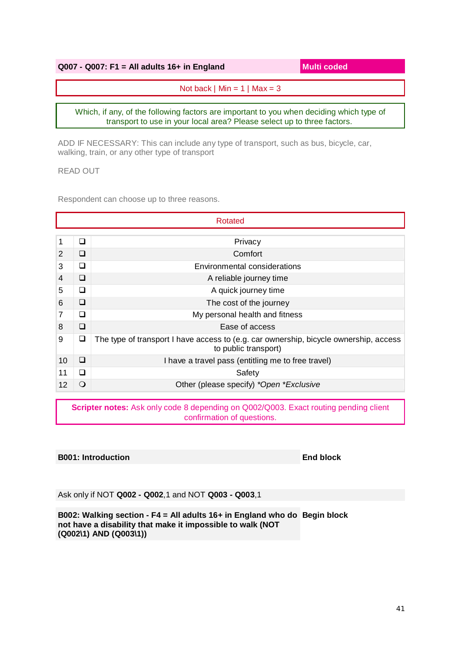### **Q007 - Q007: F1 = All adults 16+ in England Multi coded**

Not back  $\vert$  Min = 1  $\vert$  Max = 3

Which, if any, of the following factors are important to you when deciding which type of transport to use in your local area? Please select up to three factors.

ADD IF NECESSARY: This can include any type of transport, such as bus, bicycle, car, walking, train, or any other type of transport

READ OUT

Respondent can choose up to three reasons.

|    |   | Rotated                                                                                                       |
|----|---|---------------------------------------------------------------------------------------------------------------|
|    |   |                                                                                                               |
| 1  | ◻ | Privacy                                                                                                       |
| 2  | ◻ | Comfort                                                                                                       |
| 3  | ❏ | <b>Environmental considerations</b>                                                                           |
| 4  | ◻ | A reliable journey time                                                                                       |
| 5  | ❏ | A quick journey time                                                                                          |
| 6  | ◻ | The cost of the journey                                                                                       |
| 7  | ◻ | My personal health and fitness                                                                                |
| 8  | ❏ | Ease of access                                                                                                |
| 9  | ❏ | The type of transport I have access to (e.g. car ownership, bicycle ownership, access<br>to public transport) |
| 10 | ◻ | I have a travel pass (entitling me to free travel)                                                            |
| 11 | ❏ | Safety                                                                                                        |
| 12 | ∩ | Other (please specify) *Open *Exclusive                                                                       |
|    |   |                                                                                                               |

**Scripter notes:** Ask only code 8 depending on Q002/Q003. Exact routing pending client confirmation of questions.

#### **B001: Introduction End block**

Ask only if NOT **Q002 - Q002**,1 and NOT **Q003 - Q003**,1

**B002: Walking section - F4 = All adults 16+ in England who do Begin blocknot have a disability that make it impossible to walk (NOT (Q002\1) AND (Q003\1))**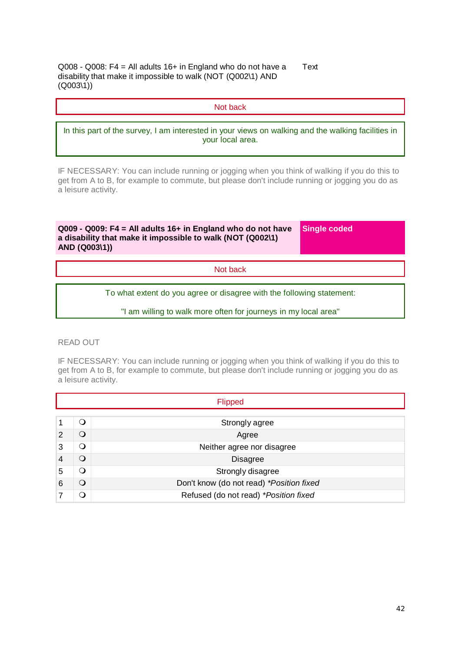Q008 - Q008: F4 = All adults 16+ in England who do not have a disability that make it impossible to walk (NOT (Q002\1) AND (Q003\1)) **Text** 

Not back

In this part of the survey, I am interested in your views on walking and the walking facilities in your local area.

IF NECESSARY: You can include running or jogging when you think of walking if you do this to get from A to B, for example to commute, but please don't include running or jogging you do as a leisure activity.

**Q009 - Q009: F4 = All adults 16+ in England who do not have a disability that make it impossible to walk (NOT (Q002\1) AND (Q003\1))**

**Single coded**

Not back

To what extent do you agree or disagree with the following statement:

"I am willing to walk more often for journeys in my local area"

READ OUT

IF NECESSARY: You can include running or jogging when you think of walking if you do this to get from A to B, for example to commute, but please don't include running or jogging you do as a leisure activity.

|   | <b>Flipped</b> |                                          |  |
|---|----------------|------------------------------------------|--|
|   |                |                                          |  |
|   | O              | Strongly agree                           |  |
| 2 | O              | Agree                                    |  |
| 3 | Q              | Neither agree nor disagree               |  |
|   | ∩              | <b>Disagree</b>                          |  |
| 5 | ∩              | Strongly disagree                        |  |
| 6 | Q              | Don't know (do not read) *Position fixed |  |
|   | ∩              | Refused (do not read) *Position fixed    |  |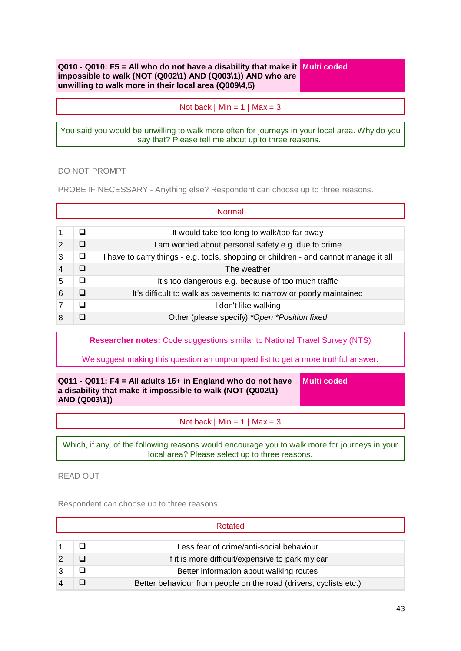**Q010 - Q010: F5 = All who do not have a disability that make it Multi coded impossible to walk (NOT (Q002\1) AND (Q003\1)) AND who are unwilling to walk more in their local area (Q009\4,5)**

Not back  $\mid$  Min = 1  $\mid$  Max = 3

You said you would be unwilling to walk more often for journeys in your local area. Why do you say that? Please tell me about up to three reasons.

DO NOT PROMPT

PROBE IF NECESSARY - Anything else? Respondent can choose up to three reasons.

|   |   | Normal                                                                               |
|---|---|--------------------------------------------------------------------------------------|
|   | □ | It would take too long to walk/too far away                                          |
| 2 | П | I am worried about personal safety e.g. due to crime                                 |
| 3 | ❏ | I have to carry things - e.g. tools, shopping or children - and cannot manage it all |
| 4 | ❏ | The weather                                                                          |
| 5 | □ | It's too dangerous e.g. because of too much traffic                                  |
| 6 | n | It's difficult to walk as pavements to narrow or poorly maintained                   |
|   | □ | I don't like walking                                                                 |
| 8 |   | Other (please specify) *Open *Position fixed                                         |

**Researcher notes:** Code suggestions similar to National Travel Survey (NTS)

We suggest making this question an unprompted list to get a more truthful answer.

**Q011 - Q011: F4 = All adults 16+ in England who do not have a disability that make it impossible to walk (NOT (Q002\1) AND (Q003\1))** 

**Multi coded**

Not back  $\mid$  Min = 1  $\mid$  Max = 3

Which, if any, of the following reasons would encourage you to walk more for journeys in your local area? Please select up to three reasons.

READ OUT

Respondent can choose up to three reasons.

|  | Rotated                                                           |
|--|-------------------------------------------------------------------|
|  |                                                                   |
|  | Less fear of crime/anti-social behaviour                          |
|  | If it is more difficult/expensive to park my car                  |
|  | Better information about walking routes                           |
|  | Better behaviour from people on the road (drivers, cyclists etc.) |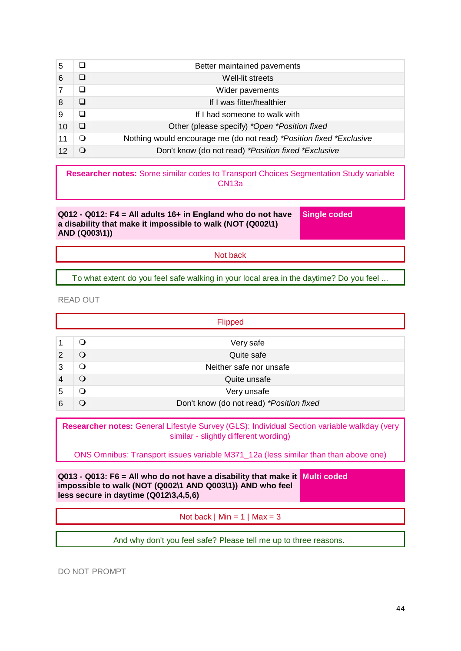| 5  |   | Better maintained pavements                                         |
|----|---|---------------------------------------------------------------------|
| 6  |   | Well-lit streets                                                    |
|    |   | Wider pavements                                                     |
| 8  | ❏ | If I was fitter/healthier                                           |
| 9  | ❏ | If I had someone to walk with                                       |
| 10 |   | Other (please specify) *Open *Position fixed                        |
| 11 | ∩ | Nothing would encourage me (do not read) *Position fixed *Exclusive |
|    |   | Don't know (do not read) *Position fixed *Exclusive                 |

**Researcher notes:** Some similar codes to Transport Choices Segmentation Study variable CN13a

**Q012 - Q012: F4 = All adults 16+ in England who do not have a disability that make it impossible to walk (NOT (Q002\1) AND (Q003\1))**

**Single coded**

Not back

To what extent do you feel safe walking in your local area in the daytime? Do you feel ...

READ OUT

|   | Flipped  |                                          |  |
|---|----------|------------------------------------------|--|
|   |          |                                          |  |
|   | ິ )      | Very safe                                |  |
| 2 | Q        | Quite safe                               |  |
| 3 | $\Omega$ | Neither safe nor unsafe                  |  |
|   | $\Omega$ | Quite unsafe                             |  |
| 5 | O        | Very unsafe                              |  |
| 6 |          | Don't know (do not read) *Position fixed |  |

**Researcher notes:** General Lifestyle Survey (GLS): Individual Section variable walkday (very similar - slightly different wording)

ONS Omnibus: Transport issues variable M371\_12a (less similar than than above one)

**Q013 - Q013: F6 = All who do not have a disability that make it Multi coded impossible to walk (NOT (Q002\1 AND Q003\1)) AND who feel less secure in daytime (Q012\3,4,5,6)**

Not back  $\vert$  Min = 1  $\vert$  Max = 3

And why don't you feel safe? Please tell me up to three reasons.

DO NOT PROMPT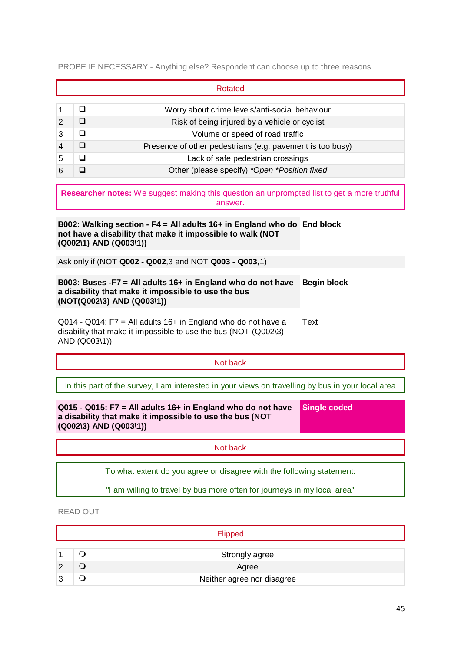PROBE IF NECESSARY - Anything else? Respondent can choose up to three reasons.

|   |        | Rotated                                                   |
|---|--------|-----------------------------------------------------------|
|   | ❏      | Worry about crime levels/anti-social behaviour            |
| 2 | ப      | Risk of being injured by a vehicle or cyclist             |
| 3 | ◻      | Volume or speed of road traffic                           |
|   | $\Box$ | Presence of other pedestrians (e.g. pavement is too busy) |
| 5 | ◻      | Lack of safe pedestrian crossings                         |
|   |        | Other (please specify) *Open *Position fixed              |

**Researcher notes:** We suggest making this question an unprompted list to get a more truthful answer.

**B002: Walking section - F4 = All adults 16+ in England who do End block not have a disability that make it impossible to walk (NOT (Q002\1) AND (Q003\1))**

Ask only if (NOT **Q002 - Q002**,3 and NOT **Q003 - Q003**,1)

#### **B003: Buses -F7 = All adults 16+ in England who do not have a disability that make it impossible to use the bus (NOT(Q002\3) AND (Q003\1)) Begin block**

Q014 - Q014: F7 = All adults 16+ in England who do not have a disability that make it impossible to use the bus (NOT (Q002\3) AND (Q003\1)) Text

Not back

In this part of the survey, I am interested in your views on travelling by bus in your local area

**Q015 - Q015: F7 = All adults 16+ in England who do not have a disability that make it impossible to use the bus (NOT (Q002\3) AND (Q003\1)) Single coded**

Not back

To what extent do you agree or disagree with the following statement:

"I am willing to travel by bus more often for journeys in my local area"

READ OUT

|   | Flipped                    |
|---|----------------------------|
|   |                            |
|   | Strongly agree             |
|   | Agree                      |
| 2 | Neither agree nor disagree |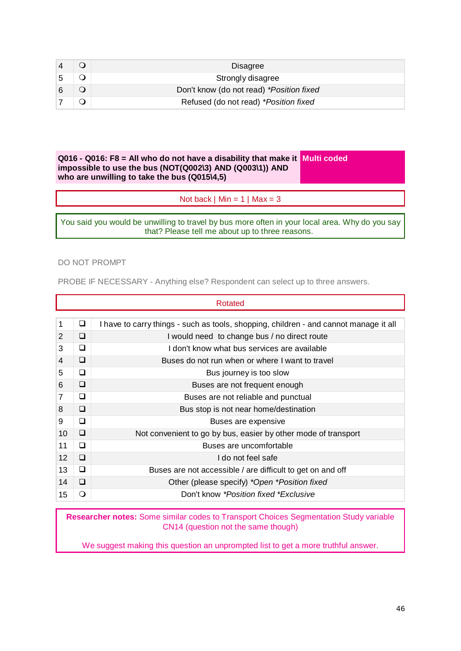|  | Disagree                                 |
|--|------------------------------------------|
|  | Strongly disagree                        |
|  | Don't know (do not read) *Position fixed |
|  | Refused (do not read) *Position fixed    |

**Q016 - Q016: F8 = All who do not have a disability that make it Multi coded impossible to use the bus (NOT(Q002\3) AND (Q003\1)) AND who are unwilling to take the bus (Q015\4,5)**

Not back  $\mid$  Min = 1  $\mid$  Max = 3

You said you would be unwilling to travel by bus more often in your local area. Why do you say that? Please tell me about up to three reasons.

#### DO NOT PROMPT

PROBE IF NECESSARY - Anything else? Respondent can select up to three answers.

|    |    | Rotated                                                                               |
|----|----|---------------------------------------------------------------------------------------|
|    |    |                                                                                       |
| 1  | Q. | I have to carry things - such as tools, shopping, children - and cannot manage it all |
| 2  | ❏  | I would need to change bus / no direct route                                          |
| 3  | □  | I don't know what bus services are available                                          |
| 4  | □  | Buses do not run when or where I want to travel                                       |
| 5  | ◻  | Bus journey is too slow                                                               |
| 6  | ◻  | Buses are not frequent enough                                                         |
| 7  | ❏  | Buses are not reliable and punctual                                                   |
| 8  | ◻  | Bus stop is not near home/destination                                                 |
| 9  | ◻  | Buses are expensive                                                                   |
| 10 | ⊔  | Not convenient to go by bus, easier by other mode of transport                        |
| 11 | □  | Buses are uncomfortable                                                               |
| 12 | ❏  | I do not feel safe                                                                    |
| 13 | ❏  | Buses are not accessible / are difficult to get on and off                            |
| 14 | □  | Other (please specify) *Open *Position fixed                                          |
| 15 | O  | Don't know *Position fixed *Exclusive                                                 |

**Researcher notes:** Some similar codes to Transport Choices Segmentation Study variable CN14 (question not the same though)

We suggest making this question an unprompted list to get a more truthful answer.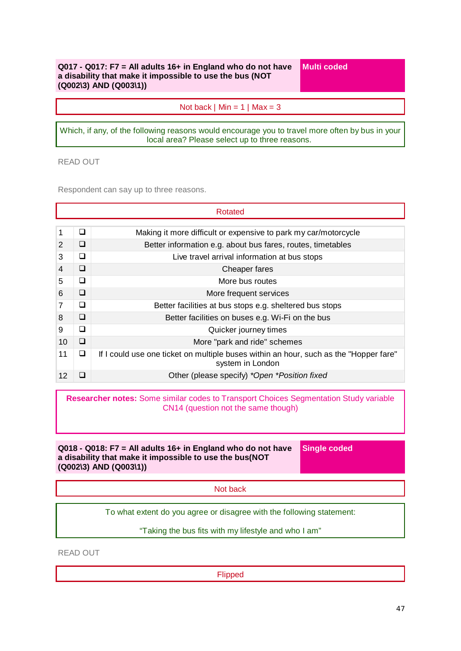#### **Q017 - Q017: F7 = All adults 16+ in England who do not have a disability that make it impossible to use the bus (NOT (Q002\3) AND (Q003\1))**

**Multi coded**

Not back  $\vert$  Min = 1  $\vert$  Max = 3

Which, if any, of the following reasons would encourage you to travel more often by bus in your local area? Please select up to three reasons.

READ OUT

Respondent can say up to three reasons.

|    |   | Rotated                                                                                                   |
|----|---|-----------------------------------------------------------------------------------------------------------|
|    |   |                                                                                                           |
| 1  | ◻ | Making it more difficult or expensive to park my car/motorcycle                                           |
| 2  | □ | Better information e.g. about bus fares, routes, timetables                                               |
| 3  | ◻ | Live travel arrival information at bus stops                                                              |
| 4  | □ | Cheaper fares                                                                                             |
| 5  | ◻ | More bus routes                                                                                           |
| 6  | □ | More frequent services                                                                                    |
| 7  | ◻ | Better facilities at bus stops e.g. sheltered bus stops                                                   |
| 8  | □ | Better facilities on buses e.g. Wi-Fi on the bus                                                          |
| 9  | □ | Quicker journey times                                                                                     |
| 10 | □ | More "park and ride" schemes                                                                              |
| 11 | ❏ | If I could use one ticket on multiple buses within an hour, such as the "Hopper fare"<br>system in London |
| 12 |   | Other (please specify) *Open *Position fixed                                                              |

**Researcher notes:** Some similar codes to Transport Choices Segmentation Study variable CN14 (question not the same though)

**Q018 - Q018: F7 = All adults 16+ in England who do not have a disability that make it impossible to use the bus(NOT (Q002\3) AND (Q003\1))**

**Single coded**

Not back

To what extent do you agree or disagree with the following statement:

"Taking the bus fits with my lifestyle and who I am"

READ OUT

Flipped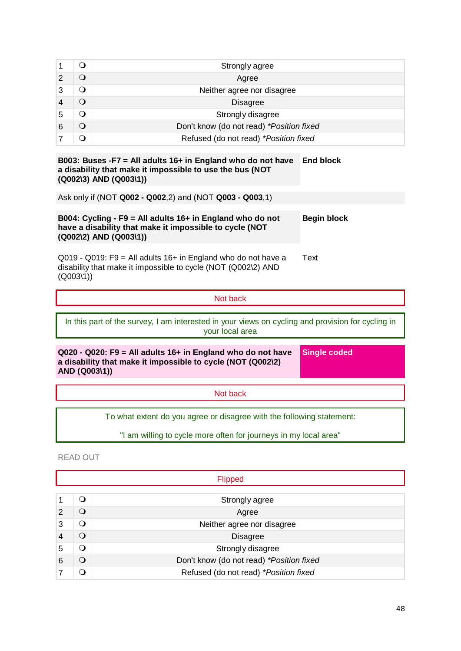|   |   | Strongly agree                           |
|---|---|------------------------------------------|
|   |   | Agree                                    |
| 3 |   | Neither agree nor disagree               |
|   | ⊖ | <b>Disagree</b>                          |
|   |   | Strongly disagree                        |
| 6 |   | Don't know (do not read) *Position fixed |
|   |   | Refused (do not read) *Position fixed    |

#### **B003: Buses -F7 = All adults 16+ in England who do not have a disability that make it impossible to use the bus (NOT (Q002\3) AND (Q003\1)) End block**

Ask only if (NOT **Q002 - Q002**,2) and (NOT **Q003 - Q003**,1)

| B004: Cycling - F9 = All adults $16+$ in England who do not | Begin block |
|-------------------------------------------------------------|-------------|
| have a disability that make it impossible to cycle (NOT     |             |
| (Q002\2) AND (Q003\1))                                      |             |

Q019 - Q019: F9 = All adults 16+ in England who do not have a disability that make it impossible to cycle (NOT (Q002\2) AND (Q003\1)) **Text** 

Not back

In this part of the survey, I am interested in your views on cycling and provision for cycling in your local area

**Q020 - Q020: F9 = All adults 16+ in England who do not have a disability that make it impossible to cycle (NOT (Q002\2) AND (Q003\1))**

**Single coded**

Not back

To what extent do you agree or disagree with the following statement:

"I am willing to cycle more often for journeys in my local area"

READ OUT

|   |              | <b>Flipped</b>                           |
|---|--------------|------------------------------------------|
|   | Q            | Strongly agree                           |
| 2 | $\mathbf{O}$ | Agree                                    |
| 3 | Q            | Neither agree nor disagree               |
|   | ∩            | <b>Disagree</b>                          |
| 5 | Q            | Strongly disagree                        |
| 6 | Q            | Don't know (do not read) *Position fixed |
|   | ∩            | Refused (do not read) *Position fixed    |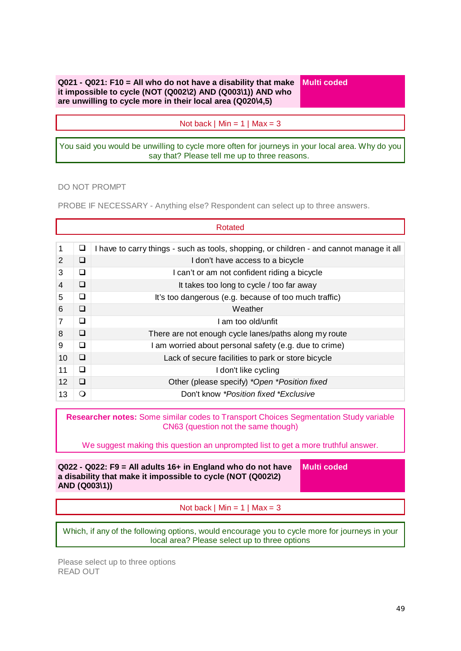**Q021 - Q021: F10 = All who do not have a disability that make it impossible to cycle (NOT (Q002\2) AND (Q003\1)) AND who are unwilling to cycle more in their local area (Q020\4,5)** 

**Multi coded**

Not back  $\mid$  Min = 1  $\mid$  Max = 3

You said you would be unwilling to cycle more often for journeys in your local area. Why do you say that? Please tell me up to three reasons.

DO NOT PROMPT

PROBE IF NECESSARY - Anything else? Respondent can select up to three answers.

| Rotated |          |                                                                                          |
|---------|----------|------------------------------------------------------------------------------------------|
|         |          |                                                                                          |
| 1       | ❏        | I have to carry things - such as tools, shopping, or children - and cannot manage it all |
| 2       | ◻        | I don't have access to a bicycle                                                         |
| 3       | □        | I can't or am not confident riding a bicycle                                             |
| 4       | ❏        | It takes too long to cycle / too far away                                                |
| 5       | ❏        | It's too dangerous (e.g. because of too much traffic)                                    |
| 6       | □        | Weather                                                                                  |
|         | ◻        | I am too old/unfit                                                                       |
| 8       | ∩        | There are not enough cycle lanes/paths along my route                                    |
| 9       | ◻        | I am worried about personal safety (e.g. due to crime)                                   |
| 10      | □        | Lack of secure facilities to park or store bicycle                                       |
| 11      | ◻        | I don't like cycling                                                                     |
| 12      | □        | Other (please specify) *Open *Position fixed                                             |
| 13      | $\Omega$ | Don't know *Position fixed *Exclusive                                                    |

**Researcher notes:** Some similar codes to Transport Choices Segmentation Study variable CN63 (question not the same though)

We suggest making this question an unprompted list to get a more truthful answer.

| $Q022 - Q022$ : F9 = All adults 16+ in England who do not have<br>a disability that make it impossible to cycle (NOT (Q002\2)<br>AND (Q003\1)) | Multi coded |
|------------------------------------------------------------------------------------------------------------------------------------------------|-------------|
|------------------------------------------------------------------------------------------------------------------------------------------------|-------------|

Not back  $\mid$  Min = 1  $\mid$  Max = 3

Which, if any of the following options, would encourage you to cycle more for journeys in your local area? Please select up to three options

Please select up to three options READ OUT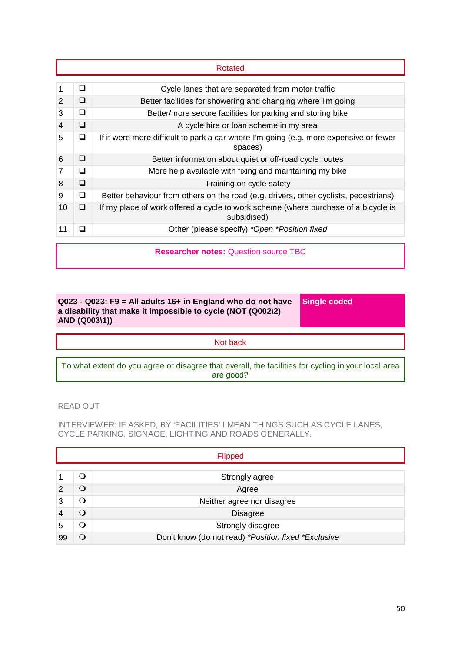|    |   | Rotated                                                                                           |
|----|---|---------------------------------------------------------------------------------------------------|
| 1  | ◻ | Cycle lanes that are separated from motor traffic                                                 |
| 2  | ◻ | Better facilities for showering and changing where I'm going                                      |
| 3  | ❏ | Better/more secure facilities for parking and storing bike                                        |
| 4  | □ | A cycle hire or loan scheme in my area                                                            |
| 5  | ❏ | If it were more difficult to park a car where I'm going (e.g. more expensive or fewer<br>spaces)  |
| 6  | ◻ | Better information about quiet or off-road cycle routes                                           |
| 7  | ❏ | More help available with fixing and maintaining my bike                                           |
| 8  | ❏ | Training on cycle safety                                                                          |
| 9  | ❏ | Better behaviour from others on the road (e.g. drivers, other cyclists, pedestrians)              |
| 10 | ❏ | If my place of work offered a cycle to work scheme (where purchase of a bicycle is<br>subsidised) |
| 11 | □ | Other (please specify) *Open *Position fixed                                                      |
|    |   | <b>Researcher notes: Question source TBC</b>                                                      |

### **Q023 - Q023: F9 = All adults 16+ in England who do not have a disability that make it impossible to cycle (NOT (Q002\2) AND (Q003\1))**

**Single coded**

Not back

To what extent do you agree or disagree that overall, the facilities for cycling in your local area are good?

### READ OUT

INTERVIEWER: IF ASKED, BY 'FACILITIES' I MEAN THINGS SUCH AS CYCLE LANES, CYCLE PARKING, SIGNAGE, LIGHTING AND ROADS GENERALLY.

|    |   | Flipped                                             |
|----|---|-----------------------------------------------------|
|    |   |                                                     |
|    | O | Strongly agree                                      |
| 2  | O | Agree                                               |
| 3  | O | Neither agree nor disagree                          |
|    | Q | <b>Disagree</b>                                     |
| 5  | O | Strongly disagree                                   |
| 99 | ∩ | Don't know (do not read) *Position fixed *Exclusive |